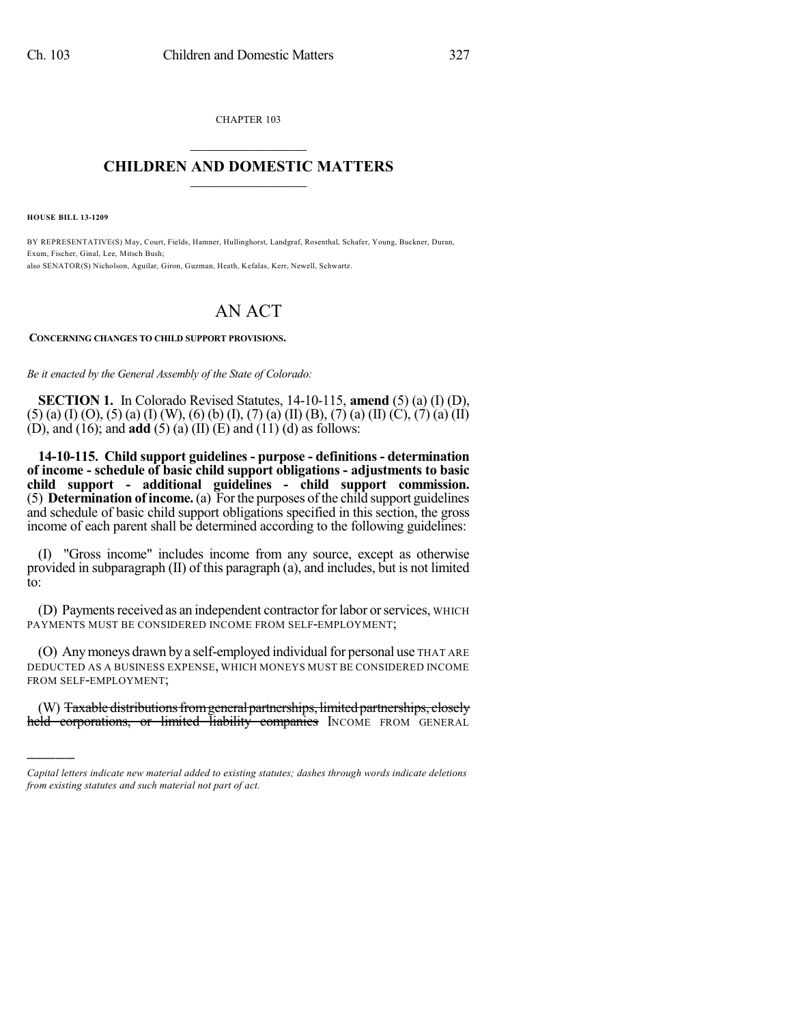CHAPTER 103  $\mathcal{L}_\text{max}$  . The set of the set of the set of the set of the set of the set of the set of the set of the set of the set of the set of the set of the set of the set of the set of the set of the set of the set of the set

## **CHILDREN AND DOMESTIC MATTERS**  $\_$

**HOUSE BILL 13-1209**

)))))

BY REPRESENTATIVE(S) May, Court, Fields, Hamner, Hullinghorst, Landgraf, Rosenthal, Schafer, Young, Buckner, Duran, Exum, Fischer, Ginal, Lee, Mitsch Bush; also SENATOR(S) Nicholson, Aguilar, Giron, Guzman, Heath, Kefalas, Kerr, Newell, Schwartz.

## AN ACT

## **CONCERNING CHANGES TO CHILD SUPPORT PROVISIONS.**

*Be it enacted by the General Assembly of the State of Colorado:*

**SECTION 1.** In Colorado Revised Statutes, 14-10-115, **amend** (5) (a) (I) (D),  $(5)$  (a) (I) (O), (5) (a) (I) (W), (6) (b) (I), (7) (a) (II) (B), (7) (a) (II) (C), (7) (a) (II) (D), and (16); and **add** (5) (a) (II) (E) and (11) (d) as follows:

**14-10-115. Child support guidelines - purpose - definitions - determination of income - schedule of basic child support obligations - adjustments to basic child support - additional guidelines - child support commission.** (5) **Determination of income.**(a) Forthe purposes of the child support guidelines and schedule of basic child support obligations specified in this section, the gross income of each parent shall be determined according to the following guidelines:

(I) "Gross income" includes income from any source, except as otherwise provided in subparagraph (II) of this paragraph (a), and includes, but is not limited to:

(D) Payments received as an independent contractor for labor or services, WHICH PAYMENTS MUST BE CONSIDERED INCOME FROM SELF-EMPLOYMENT;

(O) Any moneys drawn by a self-employed individual for personal use THAT ARE DEDUCTED AS A BUSINESS EXPENSE, WHICH MONEYS MUST BE CONSIDERED INCOME FROM SELF-EMPLOYMENT;

(W) Taxable distributions from general partnerships, limited partnerships, closely held corporations, or limited liability companies INCOME FROM GENERAL

*Capital letters indicate new material added to existing statutes; dashes through words indicate deletions from existing statutes and such material not part of act.*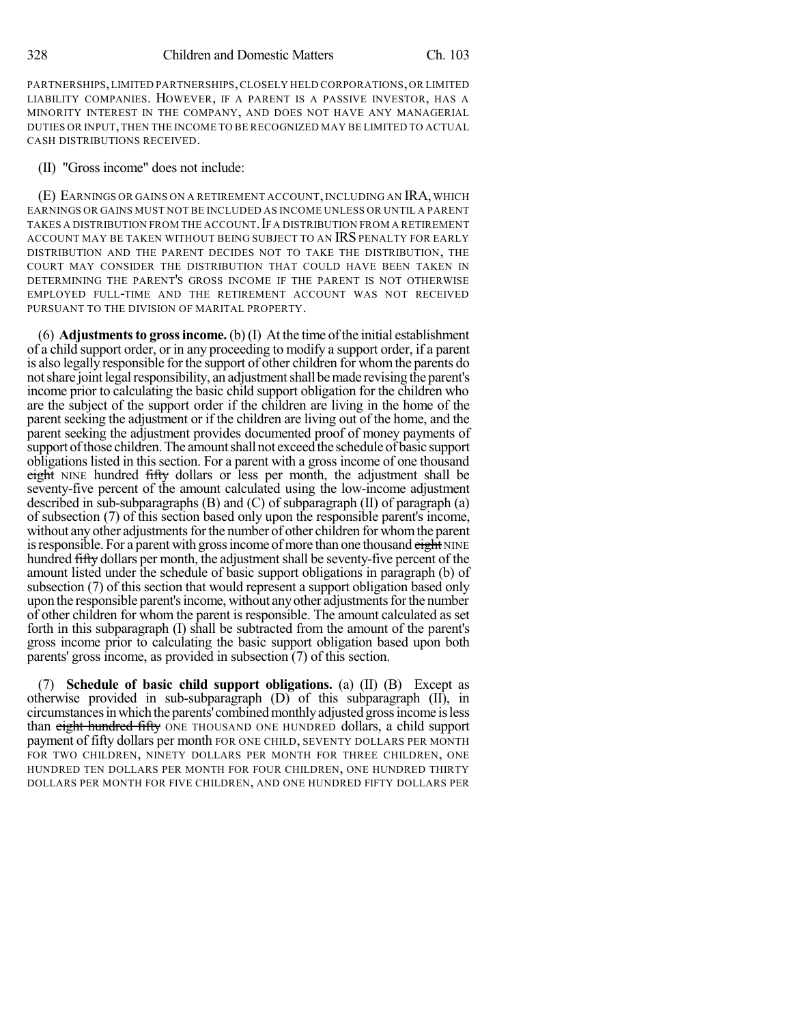PARTNERSHIPS,LIMITED PARTNERSHIPS,CLOSELY HELD CORPORATIONS,OR LIMITED LIABILITY COMPANIES. HOWEVER, IF A PARENT IS A PASSIVE INVESTOR, HAS A MINORITY INTEREST IN THE COMPANY, AND DOES NOT HAVE ANY MANAGERIAL DUTIES OR INPUT,THEN THE INCOME TO BE RECOGNIZED MAY BE LIMITED TO ACTUAL CASH DISTRIBUTIONS RECEIVED.

(II) "Gross income" does not include:

(E) EARNINGS OR GAINS ON A RETIREMENT ACCOUNT, INCLUDING AN IRA, WHICH EARNINGS OR GAINS MUST NOT BE INCLUDED AS INCOME UNLESS OR UNTIL A PARENT TAKES A DISTRIBUTION FROM THE ACCOUNT. IF A DISTRIBUTION FROM A RETIREMENT ACCOUNT MAY BE TAKEN WITHOUT BEING SUBJECT TO AN IRS PENALTY FOR EARLY DISTRIBUTION AND THE PARENT DECIDES NOT TO TAKE THE DISTRIBUTION, THE COURT MAY CONSIDER THE DISTRIBUTION THAT COULD HAVE BEEN TAKEN IN DETERMINING THE PARENT'S GROSS INCOME IF THE PARENT IS NOT OTHERWISE EMPLOYED FULL-TIME AND THE RETIREMENT ACCOUNT WAS NOT RECEIVED PURSUANT TO THE DIVISION OF MARITAL PROPERTY.

(6) **Adjustments to gross income.** (b) (I) At the time of the initial establishment of a child support order, or in any proceeding to modify a support order, if a parent is also legally responsible forthe support of other children for whomthe parents do not share joint legal responsibility, an adjustment shall be made revising the parent's income prior to calculating the basic child support obligation for the children who are the subject of the support order if the children are living in the home of the parent seeking the adjustment or if the children are living out of the home, and the parent seeking the adjustment provides documented proof of money payments of support of those children. The amount shall not exceed the schedule of basic support obligations listed in this section. For a parent with a gross income of one thousand eight NINE hundred fifty dollars or less per month, the adjustment shall be seventy-five percent of the amount calculated using the low-income adjustment described in sub-subparagraphs (B) and (C) of subparagraph (II) of paragraph (a) of subsection (7) of this section based only upon the responsible parent's income, without any other adjustments for the number of other children for whom the parent is responsible. For a parent with gross income of more than one thousand eight NINE hundred fifty dollars per month, the adjustment shall be seventy-five percent of the amount listed under the schedule of basic support obligations in paragraph (b) of subsection (7) of this section that would represent a support obligation based only upon the responsible parent's income, without any other adjustments for the number of other children for whom the parent is responsible. The amount calculated as set forth in this subparagraph (I) shall be subtracted from the amount of the parent's gross income prior to calculating the basic support obligation based upon both parents' gross income, as provided in subsection (7) of this section.

(7) **Schedule of basic child support obligations.** (a) (II) (B) Except as otherwise provided in sub-subparagraph (D) of this subparagraph (II), in circumstancesinwhichtheparents' combinedmonthlyadjusted grossincome isless than eight hundred fifty ONE THOUSAND ONE HUNDRED dollars, a child support payment of fifty dollars per month FOR ONE CHILD, SEVENTY DOLLARS PER MONTH FOR TWO CHILDREN, NINETY DOLLARS PER MONTH FOR THREE CHILDREN, ONE HUNDRED TEN DOLLARS PER MONTH FOR FOUR CHILDREN, ONE HUNDRED THIRTY DOLLARS PER MONTH FOR FIVE CHILDREN, AND ONE HUNDRED FIFTY DOLLARS PER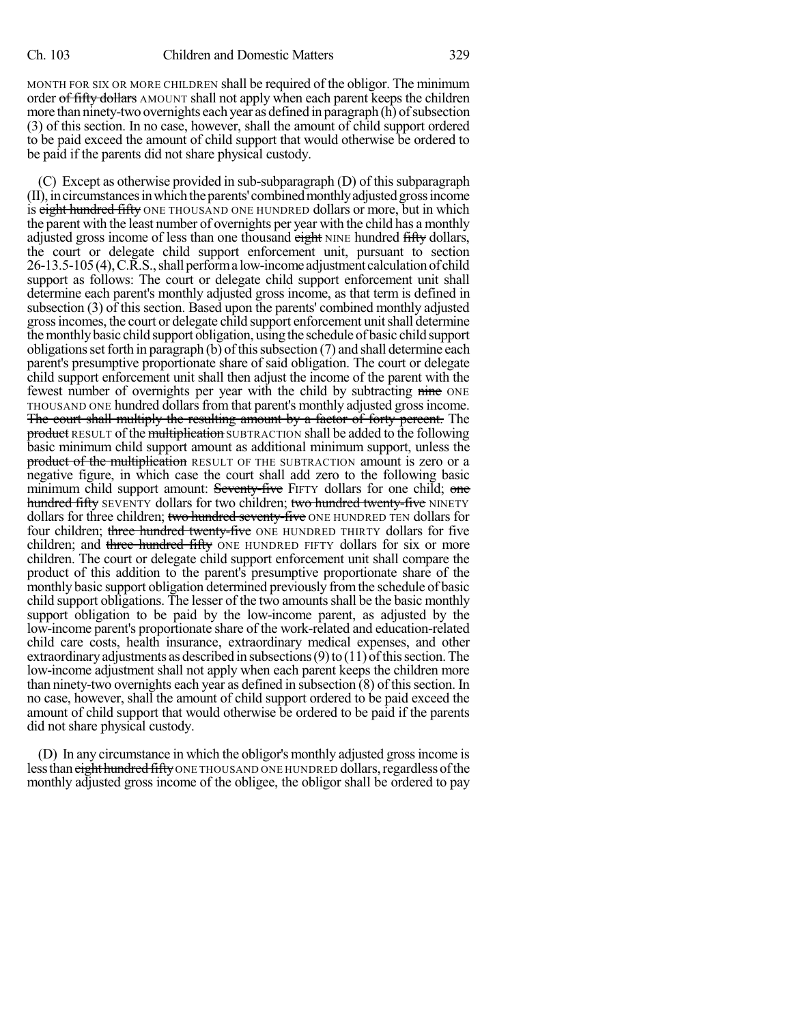MONTH FOR SIX OR MORE CHILDREN shall be required of the obligor. The minimum order of fifty dollars AMOUNT shall not apply when each parent keeps the children more than ninety-two overnights each year as defined in paragraph (h) of subsection (3) of this section. In no case, however, shall the amount of child support ordered to be paid exceed the amount of child support that would otherwise be ordered to be paid if the parents did not share physical custody.

(C) Except as otherwise provided in sub-subparagraph (D) of this subparagraph (II),incircumstancesinwhichtheparents' combinedmonthlyadjustedgrossincome is eight hundred fifty ONE THOUSAND ONE HUNDRED dollars or more, but in which the parent with the least number of overnights per year with the child has a monthly adjusted gross income of less than one thousand eight NINE hundred fifty dollars, the court or delegate child support enforcement unit, pursuant to section 26-13.5-105(4),C.R.S.,shall performa low-income adjustment calculationof child support as follows: The court or delegate child support enforcement unit shall determine each parent's monthly adjusted gross income, as that term is defined in subsection (3) of this section. Based upon the parents' combined monthly adjusted grossincomes, the court or delegate child support enforcement unitshall determine themonthlybasic child support obligation, usingthe schedule of basic child support obligations set forth in paragraph (b) of this subsection  $(7)$  and shall determine each parent's presumptive proportionate share of said obligation. The court or delegate child support enforcement unit shall then adjust the income of the parent with the fewest number of overnights per year with the child by subtracting nine ONE THOUSAND ONE hundred dollarsfrom that parent's monthly adjusted grossincome. The court shall multiply the resulting amount by a factor of forty percent. The product RESULT of the multiplication SUBTRACTION shall be added to the following basic minimum child support amount as additional minimum support, unless the product of the multiplication RESULT OF THE SUBTRACTION amount is zero or a negative figure, in which case the court shall add zero to the following basic minimum child support amount: Seventy-five FIFTY dollars for one child; one hundred fifty SEVENTY dollars for two children; two hundred twenty-five NINETY dollars for three children; two hundred seventy-five ONE HUNDRED TEN dollars for four children; three hundred twenty-five ONE HUNDRED THIRTY dollars for five children; and three hundred fifty ONE HUNDRED FIFTY dollars for six or more children. The court or delegate child support enforcement unit shall compare the product of this addition to the parent's presumptive proportionate share of the monthly basic support obligation determined previously fromthe schedule of basic child support obligations. The lesser of the two amounts shall be the basic monthly support obligation to be paid by the low-income parent, as adjusted by the low-income parent's proportionate share of the work-related and education-related child care costs, health insurance, extraordinary medical expenses, and other extraordinary adjustments as described in subsections  $(9)$  to  $(11)$  of this section. The low-income adjustment shall not apply when each parent keeps the children more than ninety-two overnights each year as defined in subsection  $(8)$  of this section. In no case, however, shall the amount of child support ordered to be paid exceed the amount of child support that would otherwise be ordered to be paid if the parents did not share physical custody.

(D) In any circumstance in which the obligor's monthly adjusted grossincome is less than eight hundred fifty ONE THOUSAND ONE HUNDRED dollars, regardless of the monthly adjusted gross income of the obligee, the obligor shall be ordered to pay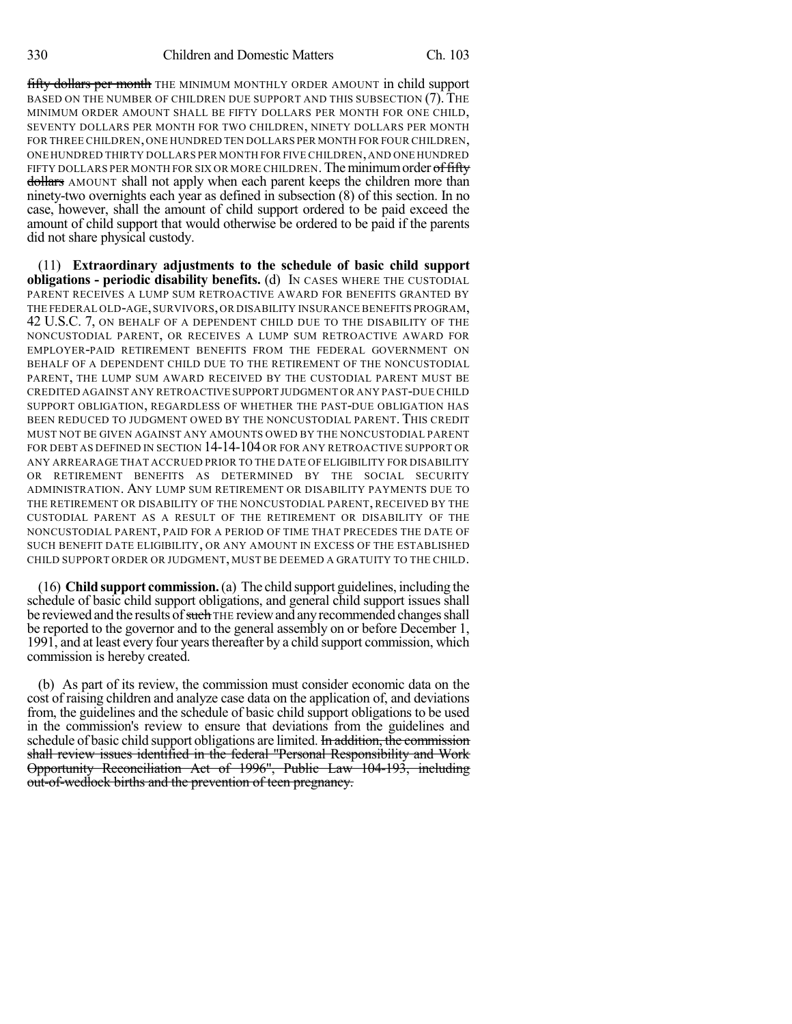fifty dollars per month THE MINIMUM MONTHLY ORDER AMOUNT in child support BASED ON THE NUMBER OF CHILDREN DUE SUPPORT AND THIS SUBSECTION (7). THE MINIMUM ORDER AMOUNT SHALL BE FIFTY DOLLARS PER MONTH FOR ONE CHILD, SEVENTY DOLLARS PER MONTH FOR TWO CHILDREN, NINETY DOLLARS PER MONTH FOR THREE CHILDREN,ONE HUNDRED TEN DOLLARS PER MONTH FOR FOUR CHILDREN, ONE HUNDRED THIRTY DOLLARS PER MONTH FOR FIVE CHILDREN,AND ONE HUNDRED FIFTY DOLLARS PER MONTH FOR SIX OR MORE CHILDREN. The minimum order of fifty dollars AMOUNT shall not apply when each parent keeps the children more than ninety-two overnights each year as defined in subsection (8) of this section. In no case, however, shall the amount of child support ordered to be paid exceed the amount of child support that would otherwise be ordered to be paid if the parents did not share physical custody.

(11) **Extraordinary adjustments to the schedule of basic child support obligations - periodic disability benefits.** (d) IN CASES WHERE THE CUSTODIAL PARENT RECEIVES A LUMP SUM RETROACTIVE AWARD FOR BENEFITS GRANTED BY THE FEDERAL OLD-AGE,SURVIVORS,OR DISABILITY INSURANCE BENEFITS PROGRAM, 42 U.S.C. 7, ON BEHALF OF A DEPENDENT CHILD DUE TO THE DISABILITY OF THE NONCUSTODIAL PARENT, OR RECEIVES A LUMP SUM RETROACTIVE AWARD FOR EMPLOYER-PAID RETIREMENT BENEFITS FROM THE FEDERAL GOVERNMENT ON BEHALF OF A DEPENDENT CHILD DUE TO THE RETIREMENT OF THE NONCUSTODIAL PARENT, THE LUMP SUM AWARD RECEIVED BY THE CUSTODIAL PARENT MUST BE CREDITED AGAINST ANY RETROACTIVE SUPPORT JUDGMENT OR ANY PAST-DUE CHILD SUPPORT OBLIGATION, REGARDLESS OF WHETHER THE PAST-DUE OBLIGATION HAS BEEN REDUCED TO JUDGMENT OWED BY THE NONCUSTODIAL PARENT. THIS CREDIT MUST NOT BE GIVEN AGAINST ANY AMOUNTS OWED BY THE NONCUSTODIAL PARENT FOR DEBT AS DEFINED IN SECTION 14-14-104 OR FOR ANY RETROACTIVE SUPPORT OR ANY ARREARAGE THAT ACCRUED PRIOR TO THE DATE OF ELIGIBILITY FOR DISABILITY OR RETIREMENT BENEFITS AS DETERMINED BY THE SOCIAL SECURITY ADMINISTRATION. ANY LUMP SUM RETIREMENT OR DISABILITY PAYMENTS DUE TO THE RETIREMENT OR DISABILITY OF THE NONCUSTODIAL PARENT, RECEIVED BY THE CUSTODIAL PARENT AS A RESULT OF THE RETIREMENT OR DISABILITY OF THE NONCUSTODIAL PARENT, PAID FOR A PERIOD OF TIME THAT PRECEDES THE DATE OF SUCH BENEFIT DATE ELIGIBILITY, OR ANY AMOUNT IN EXCESS OF THE ESTABLISHED CHILD SUPPORT ORDER OR JUDGMENT, MUST BE DEEMED A GRATUITY TO THE CHILD.

(16) **Child support commission.**(a) The child support guidelines, including the schedule of basic child support obligations, and general child support issues shall be reviewed and the results of such THE review and any recommended changes shall be reported to the governor and to the general assembly on or before December 1, 1991, and at least every four yearsthereafter by a child support commission, which commission is hereby created.

(b) As part of its review, the commission must consider economic data on the cost of raising children and analyze case data on the application of, and deviations from, the guidelines and the schedule of basic child support obligations to be used in the commission's review to ensure that deviations from the guidelines and schedule of basic child support obligations are limited. In addition, the commission shall review issues identified in the federal "Personal Responsibility and Work Opportunity Reconciliation Act of 1996", Public Law 104-193, including out-of-wedlock births and the prevention of teen pregnancy.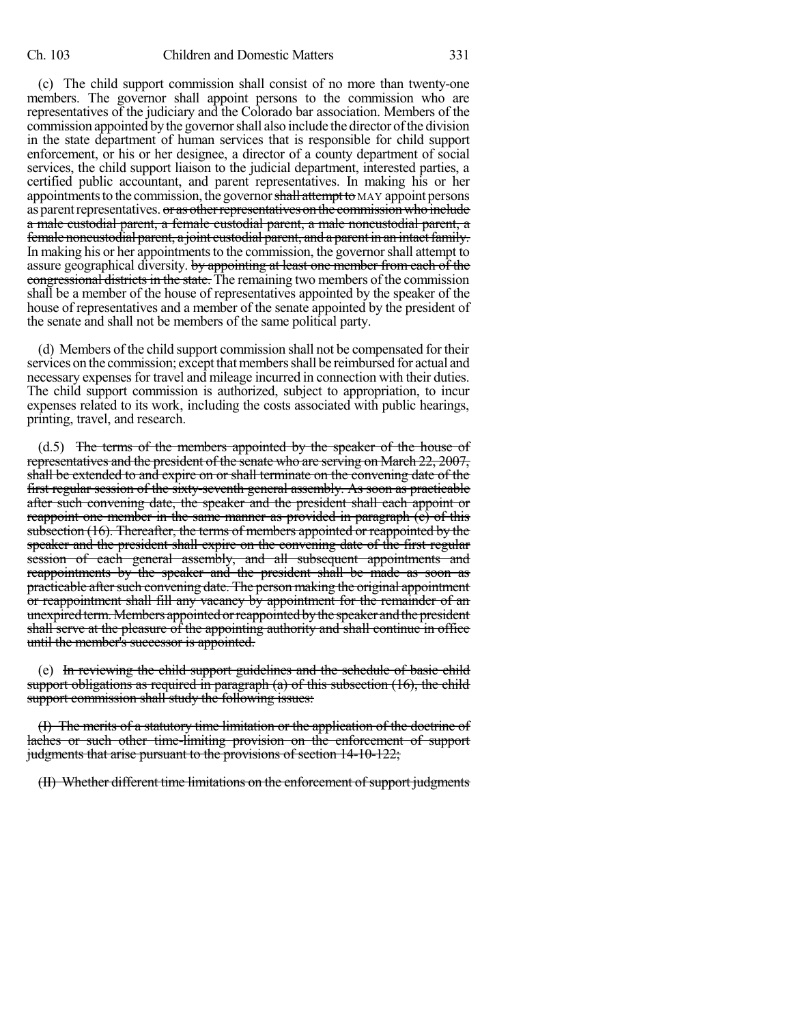(c) The child support commission shall consist of no more than twenty-one members. The governor shall appoint persons to the commission who are representatives of the judiciary and the Colorado bar association. Members of the commission appointed by the governor shall also include the director of the division in the state department of human services that is responsible for child support enforcement, or his or her designee, a director of a county department of social services, the child support liaison to the judicial department, interested parties, a certified public accountant, and parent representatives. In making his or her appointments to the commission, the governor shall attempt to MAY appoint persons as parent representatives. or as other representatives on the commission who include a male custodial parent, a female custodial parent, a male noncustodial parent, a female noncustodial parent, a joint custodial parent, and a parent in an intactfamily. In making his or her appointments to the commission, the governor shall attempt to assure geographical diversity. by appointing at least one member from each of the congressional districts in the state. The remaining two members of the commission shall be a member of the house of representatives appointed by the speaker of the house of representatives and a member of the senate appointed by the president of the senate and shall not be members of the same political party.

(d) Members of the child support commission shall not be compensated for their services on the commission; except that members shall be reimbursed for actual and necessary expenses for travel and mileage incurred in connection with their duties. The child support commission is authorized, subject to appropriation, to incur expenses related to its work, including the costs associated with public hearings, printing, travel, and research.

(d.5) The terms of the members appointed by the speaker of the house of representatives and the president of the senate who are serving on March 22, 2007, shall be extended to and expire on or shall terminate on the convening date of the first regular session of the sixty-seventh general assembly. As soon as practicable after such convening date, the speaker and the president shall each appoint or reappoint one member in the same manner as provided in paragraph (c) of this subsection (16). Thereafter, the terms of members appointed or reappointed by the speaker and the president shall expire on the convening date of the first regular session of each general assembly, and all subsequent appointments and reappointments by the speaker and the president shall be made as soon as practicable after such convening date. The person making the original appointment or reappointment shall fill any vacancy by appointment for the remainder of an unexpired term. Members appointed or reappointed by the speaker and the president shall serve at the pleasure of the appointing authority and shall continue in office until the member's successor is appointed.

(e) In reviewing the child support guidelines and the schedule of basic child support obligations as required in paragraph  $(a)$  of this subsection  $(16)$ , the child support commission shall study the following issues:

(I) The merits of a statutory time limitation or the application of the doctrine of laches or such other time-limiting provision on the enforcement of support judgments that arise pursuant to the provisions of section 14-10-122;

(II) Whether different time limitations on the enforcement of support judgments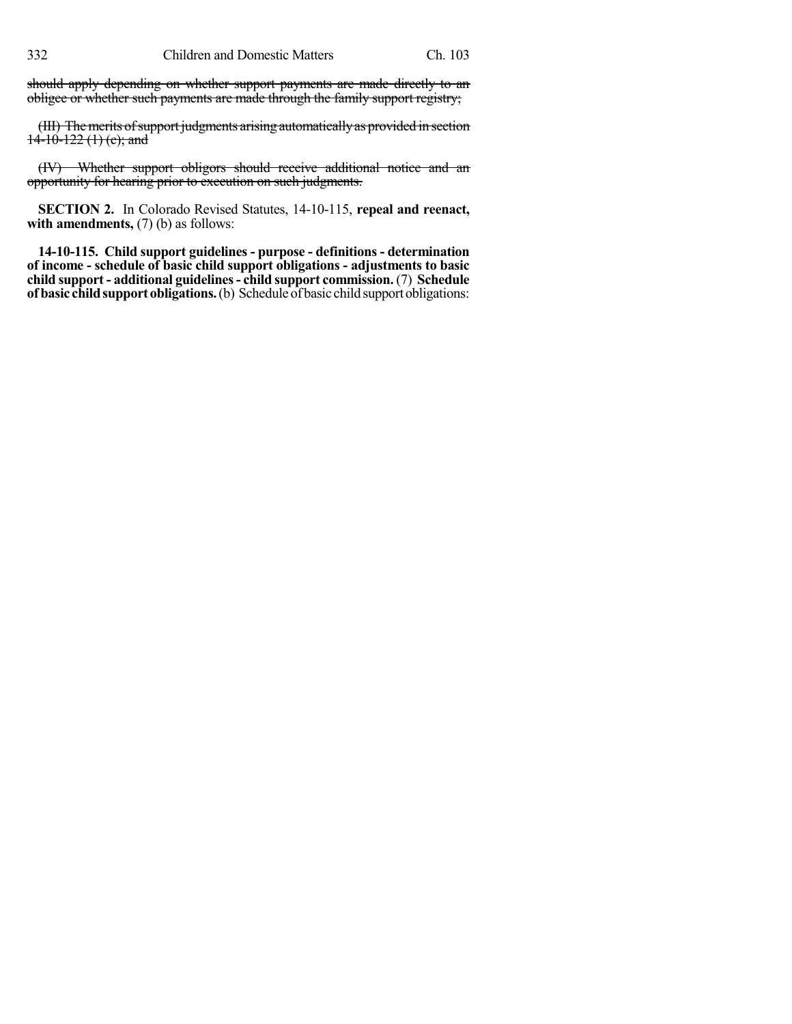should apply depending on whether support payments are made directly to an obligee or whether such payments are made through the family support registry;

(III) The merits of support judgments arising automatically as provided in section  $14-10-122$  (1) (c); and

(IV) Whether support obligors should receive additional notice and an opportunity for hearing prior to execution on such judgments.

**SECTION 2.** In Colorado Revised Statutes, 14-10-115, **repeal and reenact, with amendments,** (7) (b) as follows:

**14-10-115. Child support guidelines - purpose - definitions - determination of income - schedule of basic child support obligations - adjustments to basic child support - additional guidelines- child support commission.** (7) **Schedule of basic child support obligations.** (b) Schedule of basic child support obligations: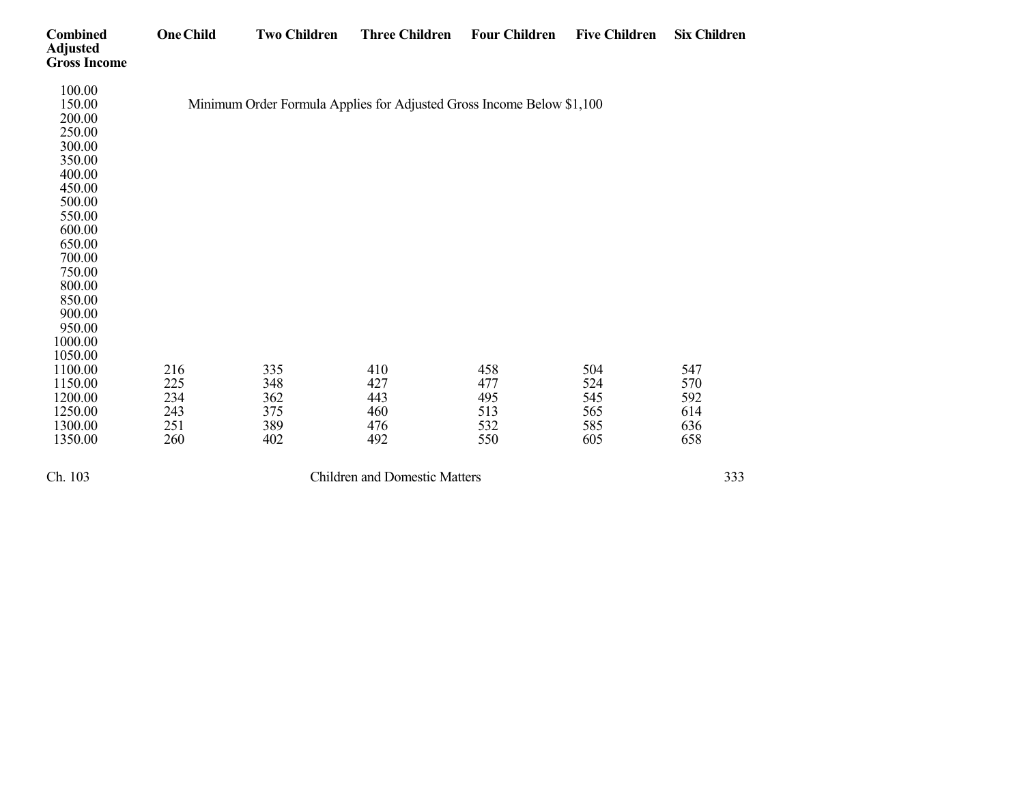| <b>Combined</b><br><b>Adjusted</b><br><b>Gross Income</b> | <b>One Child</b> | <b>Two Children</b>                                                   | <b>Three Children</b>                | <b>Four Children</b> | <b>Five Children</b> | <b>Six Children</b> |
|-----------------------------------------------------------|------------------|-----------------------------------------------------------------------|--------------------------------------|----------------------|----------------------|---------------------|
| 100.00                                                    |                  |                                                                       |                                      |                      |                      |                     |
| 150.00                                                    |                  | Minimum Order Formula Applies for Adjusted Gross Income Below \$1,100 |                                      |                      |                      |                     |
| 200.00                                                    |                  |                                                                       |                                      |                      |                      |                     |
| 250.00                                                    |                  |                                                                       |                                      |                      |                      |                     |
| 300.00                                                    |                  |                                                                       |                                      |                      |                      |                     |
| 350.00                                                    |                  |                                                                       |                                      |                      |                      |                     |
| 400.00                                                    |                  |                                                                       |                                      |                      |                      |                     |
| 450.00                                                    |                  |                                                                       |                                      |                      |                      |                     |
| 500.00                                                    |                  |                                                                       |                                      |                      |                      |                     |
| 550.00                                                    |                  |                                                                       |                                      |                      |                      |                     |
| 600.00                                                    |                  |                                                                       |                                      |                      |                      |                     |
| 650.00                                                    |                  |                                                                       |                                      |                      |                      |                     |
| 700.00                                                    |                  |                                                                       |                                      |                      |                      |                     |
| 750.00                                                    |                  |                                                                       |                                      |                      |                      |                     |
| 800.00                                                    |                  |                                                                       |                                      |                      |                      |                     |
| 850.00                                                    |                  |                                                                       |                                      |                      |                      |                     |
| 900.00                                                    |                  |                                                                       |                                      |                      |                      |                     |
| 950.00                                                    |                  |                                                                       |                                      |                      |                      |                     |
| 1000.00                                                   |                  |                                                                       |                                      |                      |                      |                     |
| 1050.00                                                   |                  |                                                                       |                                      |                      |                      |                     |
| 1100.00                                                   | 216              | 335                                                                   | 410                                  | 458                  | 504                  | 547                 |
| 1150.00                                                   | 225              | 348                                                                   | 427                                  | 477                  | 524                  | 570                 |
| 1200.00                                                   | 234              | 362                                                                   | 443                                  | 495                  | 545                  | 592                 |
| 1250.00                                                   | 243              | 375                                                                   | 460                                  | 513                  | 565                  | 614                 |
| 1300.00                                                   | 251              | 389                                                                   | 476                                  | 532                  | 585                  | 636                 |
| 1350.00                                                   | 260              | 402                                                                   | 492                                  | 550                  | 605                  | 658                 |
| Ch. 103                                                   |                  |                                                                       | <b>Children and Domestic Matters</b> |                      |                      | 333                 |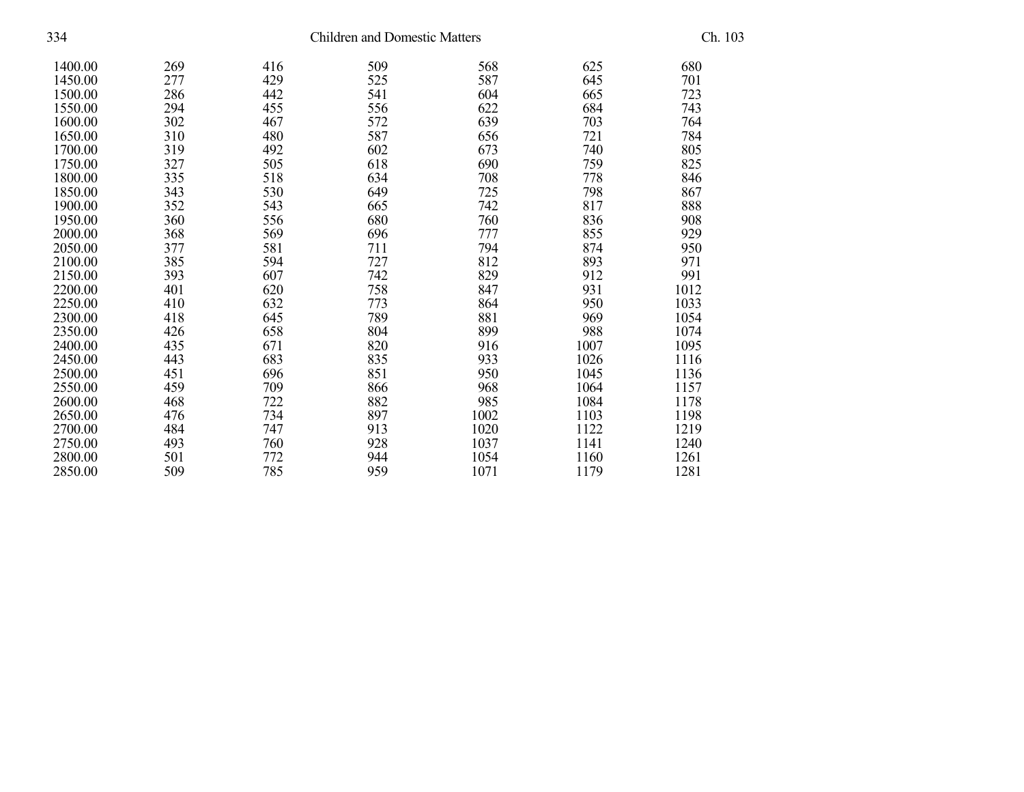| 334     |     | Ch. 103 |     |      |      |      |
|---------|-----|---------|-----|------|------|------|
| 1400.00 | 269 | 416     | 509 | 568  | 625  | 680  |
| 1450.00 | 277 | 429     | 525 | 587  | 645  | 701  |
| 1500.00 | 286 | 442     | 541 | 604  | 665  | 723  |
| 1550.00 | 294 | 455     | 556 | 622  | 684  | 743  |
| 1600.00 | 302 | 467     | 572 | 639  | 703  | 764  |
| 1650.00 | 310 | 480     | 587 | 656  | 721  | 784  |
| 1700.00 | 319 | 492     | 602 | 673  | 740  | 805  |
| 1750.00 | 327 | 505     | 618 | 690  | 759  | 825  |
| 1800.00 | 335 | 518     | 634 | 708  | 778  | 846  |
| 1850.00 | 343 | 530     | 649 | 725  | 798  | 867  |
| 1900.00 | 352 | 543     | 665 | 742  | 817  | 888  |
| 1950.00 | 360 | 556     | 680 | 760  | 836  | 908  |
| 2000.00 | 368 | 569     | 696 | 777  | 855  | 929  |
| 2050.00 | 377 | 581     | 711 | 794  | 874  | 950  |
| 2100.00 | 385 | 594     | 727 | 812  | 893  | 971  |
| 2150.00 | 393 | 607     | 742 | 829  | 912  | 991  |
| 2200.00 | 401 | 620     | 758 | 847  | 931  | 1012 |
| 2250.00 | 410 | 632     | 773 | 864  | 950  | 1033 |
| 2300.00 | 418 | 645     | 789 | 881  | 969  | 1054 |
| 2350.00 | 426 | 658     | 804 | 899  | 988  | 1074 |
| 2400.00 | 435 | 671     | 820 | 916  | 1007 | 1095 |
| 2450.00 | 443 | 683     | 835 | 933  | 1026 | 1116 |
| 2500.00 | 451 | 696     | 851 | 950  | 1045 | 1136 |
| 2550.00 | 459 | 709     | 866 | 968  | 1064 | 1157 |
| 2600.00 | 468 | 722     | 882 | 985  | 1084 | 1178 |
| 2650.00 | 476 | 734     | 897 | 1002 | 1103 | 1198 |
| 2700.00 | 484 | 747     | 913 | 1020 | 1122 | 1219 |
| 2750.00 | 493 | 760     | 928 | 1037 | 1141 | 1240 |
| 2800.00 | 501 | 772     | 944 | 1054 | 1160 | 1261 |
| 2850.00 | 509 | 785     | 959 | 1071 | 1179 | 1281 |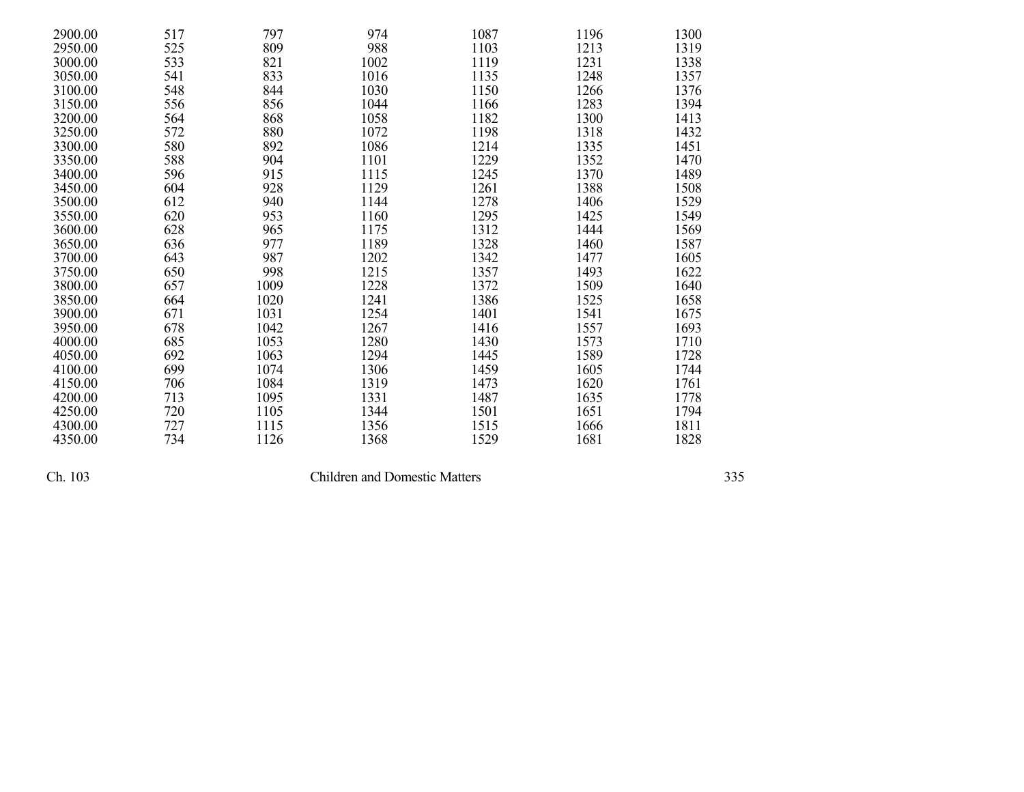| 2900.00 | 517 | 797  | 974  | 1087 | 1196 | 1300 |
|---------|-----|------|------|------|------|------|
| 2950.00 | 525 | 809  | 988  | 1103 | 1213 | 1319 |
| 3000.00 | 533 | 821  | 1002 | 1119 | 1231 | 1338 |
| 3050.00 | 541 | 833  | 1016 | 1135 | 1248 | 1357 |
| 3100.00 | 548 | 844  | 1030 | 1150 | 1266 | 1376 |
| 3150.00 | 556 | 856  | 1044 | 1166 | 1283 | 1394 |
| 3200.00 | 564 | 868  | 1058 | 1182 | 1300 | 1413 |
| 3250.00 | 572 | 880  | 1072 | 1198 | 1318 | 1432 |
| 3300.00 | 580 | 892  | 1086 | 1214 | 1335 | 1451 |
| 3350.00 | 588 | 904  | 1101 | 1229 | 1352 | 1470 |
| 3400.00 | 596 | 915  | 1115 | 1245 | 1370 | 1489 |
| 3450.00 | 604 | 928  | 1129 | 1261 | 1388 | 1508 |
| 3500.00 | 612 | 940  | 1144 | 1278 | 1406 | 1529 |
| 3550.00 | 620 | 953  | 1160 | 1295 | 1425 | 1549 |
| 3600.00 | 628 | 965  | 1175 | 1312 | 1444 | 1569 |
| 3650.00 | 636 | 977  | 1189 | 1328 | 1460 | 1587 |
| 3700.00 | 643 | 987  | 1202 | 1342 | 1477 | 1605 |
| 3750.00 | 650 | 998  | 1215 | 1357 | 1493 | 1622 |
| 3800.00 | 657 | 1009 | 1228 | 1372 | 1509 | 1640 |
| 3850.00 | 664 | 1020 | 1241 | 1386 | 1525 | 1658 |
| 3900.00 | 671 | 1031 | 1254 | 1401 | 1541 | 1675 |
| 3950.00 | 678 | 1042 | 1267 | 1416 | 1557 | 1693 |
| 4000.00 | 685 | 1053 | 1280 | 1430 | 1573 | 1710 |
| 4050.00 | 692 | 1063 | 1294 | 1445 | 1589 | 1728 |
| 4100.00 | 699 | 1074 | 1306 | 1459 | 1605 | 1744 |
| 4150.00 | 706 | 1084 | 1319 | 1473 | 1620 | 1761 |
| 4200.00 | 713 | 1095 | 1331 | 1487 | 1635 | 1778 |
| 4250.00 | 720 | 1105 | 1344 | 1501 | 1651 | 1794 |
| 4300.00 | 727 | 1115 | 1356 | 1515 | 1666 | 1811 |
| 4350.00 | 734 | 1126 | 1368 | 1529 | 1681 | 1828 |

Children and Domestic Matters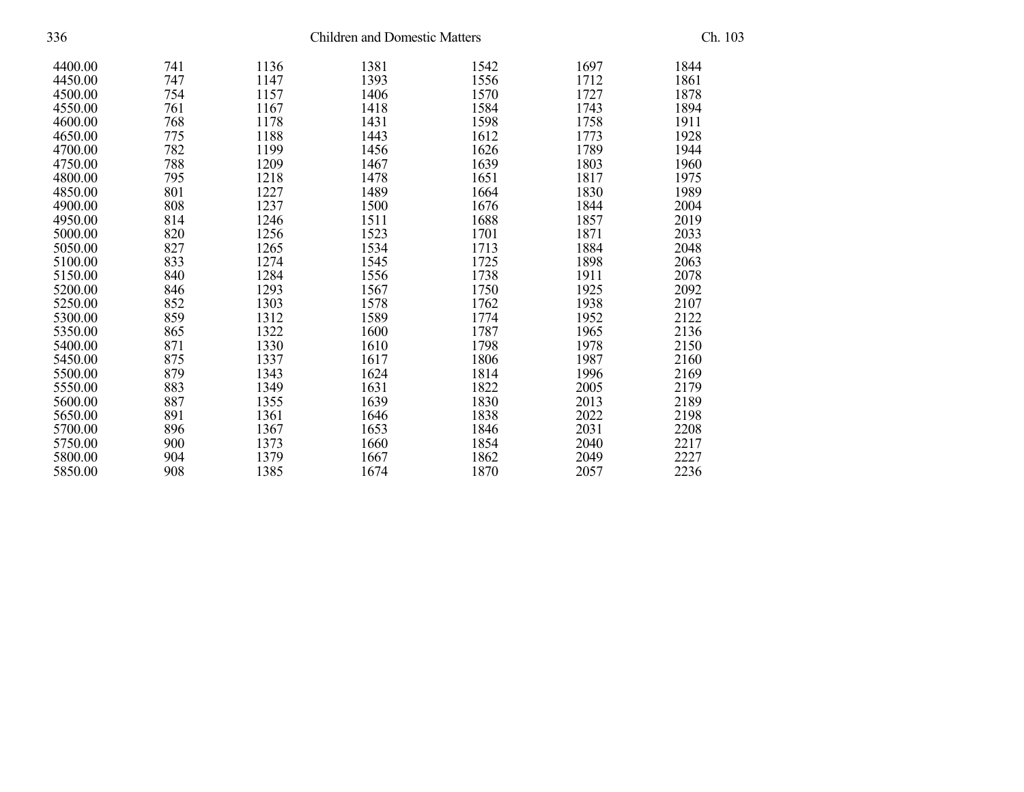| 336     |     | Ch. 103 |      |      |      |      |  |
|---------|-----|---------|------|------|------|------|--|
| 4400.00 | 741 | 1136    | 1381 | 1542 | 1697 | 1844 |  |
| 4450.00 | 747 | 1147    | 1393 | 1556 | 1712 | 1861 |  |
| 4500.00 | 754 | 1157    | 1406 | 1570 | 1727 | 1878 |  |
| 4550.00 | 761 | 1167    | 1418 | 1584 | 1743 | 1894 |  |
| 4600.00 | 768 | 1178    | 1431 | 1598 | 1758 | 1911 |  |
| 4650.00 | 775 | 1188    | 1443 | 1612 | 1773 | 1928 |  |
| 4700.00 | 782 | 1199    | 1456 | 1626 | 1789 | 1944 |  |
| 4750.00 | 788 | 1209    | 1467 | 1639 | 1803 | 1960 |  |
| 4800.00 | 795 | 1218    | 1478 | 1651 | 1817 | 1975 |  |
| 4850.00 | 801 | 1227    | 1489 | 1664 | 1830 | 1989 |  |
| 4900.00 | 808 | 1237    | 1500 | 1676 | 1844 | 2004 |  |
| 4950.00 | 814 | 1246    | 1511 | 1688 | 1857 | 2019 |  |
| 5000.00 | 820 | 1256    | 1523 | 1701 | 1871 | 2033 |  |
| 5050.00 | 827 | 1265    | 1534 | 1713 | 1884 | 2048 |  |
| 5100.00 | 833 | 1274    | 1545 | 1725 | 1898 | 2063 |  |
| 5150.00 | 840 | 1284    | 1556 | 1738 | 1911 | 2078 |  |
| 5200.00 | 846 | 1293    | 1567 | 1750 | 1925 | 2092 |  |
| 5250.00 | 852 | 1303    | 1578 | 1762 | 1938 | 2107 |  |
| 5300.00 | 859 | 1312    | 1589 | 1774 | 1952 | 2122 |  |
| 5350.00 | 865 | 1322    | 1600 | 1787 | 1965 | 2136 |  |
| 5400.00 | 871 | 1330    | 1610 | 1798 | 1978 | 2150 |  |
| 5450.00 | 875 | 1337    | 1617 | 1806 | 1987 | 2160 |  |
| 5500.00 | 879 | 1343    | 1624 | 1814 | 1996 | 2169 |  |
| 5550.00 | 883 | 1349    | 1631 | 1822 | 2005 | 2179 |  |
| 5600.00 | 887 | 1355    | 1639 | 1830 | 2013 | 2189 |  |
| 5650.00 | 891 | 1361    | 1646 | 1838 | 2022 | 2198 |  |
| 5700.00 | 896 | 1367    | 1653 | 1846 | 2031 | 2208 |  |
| 5750.00 | 900 | 1373    | 1660 | 1854 | 2040 | 2217 |  |
| 5800.00 | 904 | 1379    | 1667 | 1862 | 2049 | 2227 |  |
| 5850.00 | 908 | 1385    | 1674 | 1870 | 2057 | 2236 |  |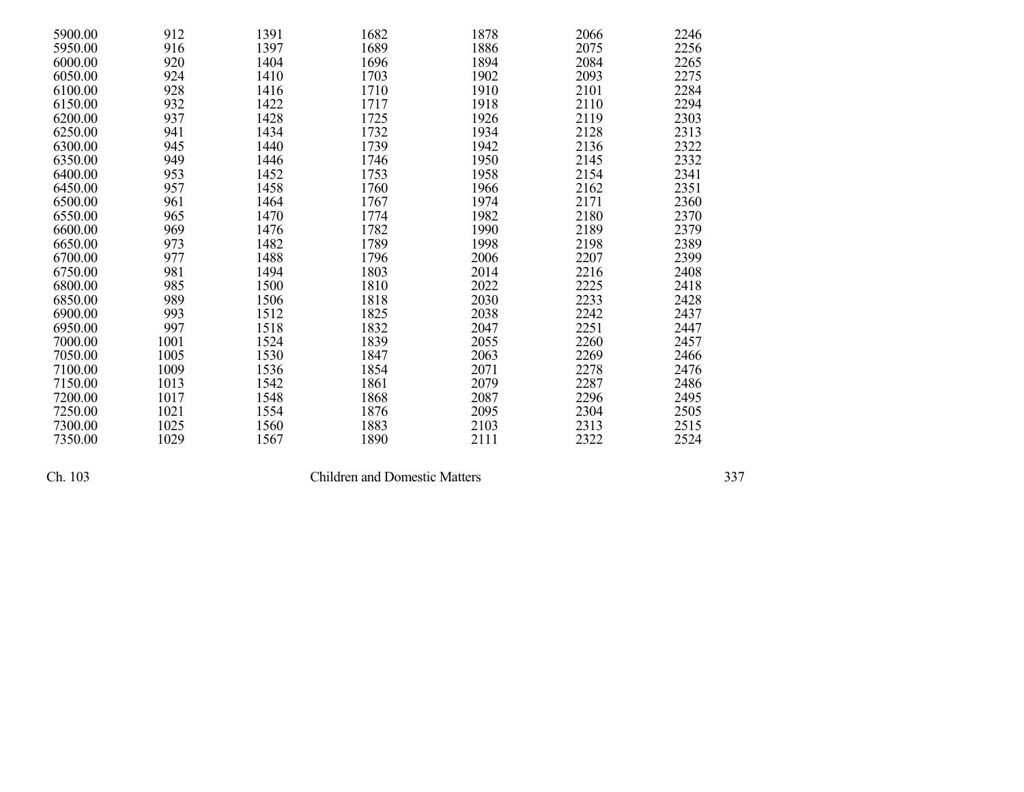| 5900.00 | 912  | 1391 | 1682 | 1878 | 2066 | 2246 |
|---------|------|------|------|------|------|------|
| 5950.00 | 916  | 1397 | 1689 | 1886 | 2075 | 2256 |
| 6000.00 | 920  | 1404 | 1696 | 1894 | 2084 | 2265 |
| 6050.00 | 924  | 1410 | 1703 | 1902 | 2093 | 2275 |
| 6100.00 | 928  | 1416 | 1710 | 1910 | 2101 | 2284 |
| 6150.00 | 932  | 1422 | 1717 | 1918 | 2110 | 2294 |
| 6200.00 | 937  | 1428 | 1725 | 1926 | 2119 | 2303 |
| 6250.00 | 941  | 1434 | 1732 | 1934 | 2128 | 2313 |
| 6300.00 | 945  | 1440 | 1739 | 1942 | 2136 | 2322 |
| 6350.00 | 949  | 1446 | 1746 | 1950 | 2145 | 2332 |
| 6400.00 | 953  | 1452 | 1753 | 1958 | 2154 | 2341 |
| 6450.00 | 957  | 1458 | 1760 | 1966 | 2162 | 2351 |
| 6500.00 | 961  | 1464 | 1767 | 1974 | 2171 | 2360 |
| 6550.00 | 965  | 1470 | 1774 | 1982 | 2180 | 2370 |
| 6600.00 | 969  | 1476 | 1782 | 1990 | 2189 | 2379 |
| 6650.00 | 973  | 1482 | 1789 | 1998 | 2198 | 2389 |
| 6700.00 | 977  | 1488 | 1796 | 2006 | 2207 | 2399 |
| 6750.00 | 981  | 1494 | 1803 | 2014 | 2216 | 2408 |
| 6800.00 | 985  | 1500 | 1810 | 2022 | 2225 | 2418 |
| 6850.00 | 989  | 1506 | 1818 | 2030 | 2233 | 2428 |
| 6900.00 | 993  | 1512 | 1825 | 2038 | 2242 | 2437 |
| 6950.00 | 997  | 1518 | 1832 | 2047 | 2251 | 2447 |
| 7000.00 | 1001 | 1524 | 1839 | 2055 | 2260 | 2457 |
| 7050.00 | 1005 | 1530 | 1847 | 2063 | 2269 | 2466 |
| 7100.00 | 1009 | 1536 | 1854 | 2071 | 2278 | 2476 |
| 7150.00 | 1013 | 1542 | 1861 | 2079 | 2287 | 2486 |
| 7200.00 | 1017 | 1548 | 1868 | 2087 | 2296 | 2495 |
| 7250.00 | 1021 | 1554 | 1876 | 2095 | 2304 | 2505 |
| 7300.00 | 1025 | 1560 | 1883 | 2103 | 2313 | 2515 |
| 7350.00 | 1029 | 1567 | 1890 | 2111 | 2322 | 2524 |

Children and Domestic Matters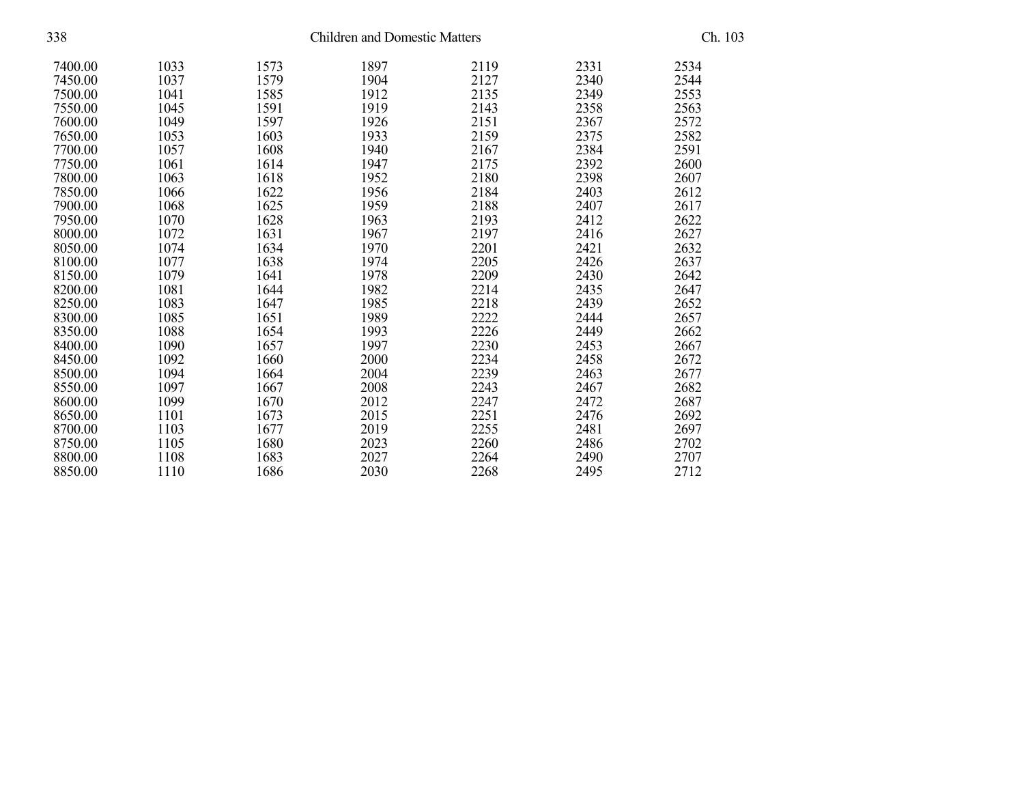| 338     | <b>Children and Domestic Matters</b> |      |      |      |      |      |  |
|---------|--------------------------------------|------|------|------|------|------|--|
| 7400.00 | 1033                                 | 1573 | 1897 | 2119 | 2331 | 2534 |  |
| 7450.00 | 1037                                 | 1579 | 1904 | 2127 | 2340 | 2544 |  |
| 7500.00 | 1041                                 | 1585 | 1912 | 2135 | 2349 | 2553 |  |
| 7550.00 | 1045                                 | 1591 | 1919 | 2143 | 2358 | 2563 |  |
| 7600.00 | 1049                                 | 1597 | 1926 | 2151 | 2367 | 2572 |  |
| 7650.00 | 1053                                 | 1603 | 1933 | 2159 | 2375 | 2582 |  |
| 7700.00 | 1057                                 | 1608 | 1940 | 2167 | 2384 | 2591 |  |
| 7750.00 | 1061                                 | 1614 | 1947 | 2175 | 2392 | 2600 |  |
| 7800.00 | 1063                                 | 1618 | 1952 | 2180 | 2398 | 2607 |  |
| 7850.00 | 1066                                 | 1622 | 1956 | 2184 | 2403 | 2612 |  |
| 7900.00 | 1068                                 | 1625 | 1959 | 2188 | 2407 | 2617 |  |
| 7950.00 | 1070                                 | 1628 | 1963 | 2193 | 2412 | 2622 |  |
| 8000.00 | 1072                                 | 1631 | 1967 | 2197 | 2416 | 2627 |  |
| 8050.00 | 1074                                 | 1634 | 1970 | 2201 | 2421 | 2632 |  |
| 8100.00 | 1077                                 | 1638 | 1974 | 2205 | 2426 | 2637 |  |
| 8150.00 | 1079                                 | 1641 | 1978 | 2209 | 2430 | 2642 |  |
| 8200.00 | 1081                                 | 1644 | 1982 | 2214 | 2435 | 2647 |  |
| 8250.00 | 1083                                 | 1647 | 1985 | 2218 | 2439 | 2652 |  |
| 8300.00 | 1085                                 | 1651 | 1989 | 2222 | 2444 | 2657 |  |
| 8350.00 | 1088                                 | 1654 | 1993 | 2226 | 2449 | 2662 |  |
| 8400.00 | 1090                                 | 1657 | 1997 | 2230 | 2453 | 2667 |  |
| 8450.00 | 1092                                 | 1660 | 2000 | 2234 | 2458 | 2672 |  |
| 8500.00 | 1094                                 | 1664 | 2004 | 2239 | 2463 | 2677 |  |
| 8550.00 | 1097                                 | 1667 | 2008 | 2243 | 2467 | 2682 |  |
| 8600.00 | 1099                                 | 1670 | 2012 | 2247 | 2472 | 2687 |  |
| 8650.00 | 1101                                 | 1673 | 2015 | 2251 | 2476 | 2692 |  |
| 8700.00 | 1103                                 | 1677 | 2019 | 2255 | 2481 | 2697 |  |
| 8750.00 | 1105                                 | 1680 | 2023 | 2260 | 2486 | 2702 |  |
| 8800.00 | 1108                                 | 1683 | 2027 | 2264 | 2490 | 2707 |  |
| 8850.00 | 1110                                 | 1686 | 2030 | 2268 | 2495 | 2712 |  |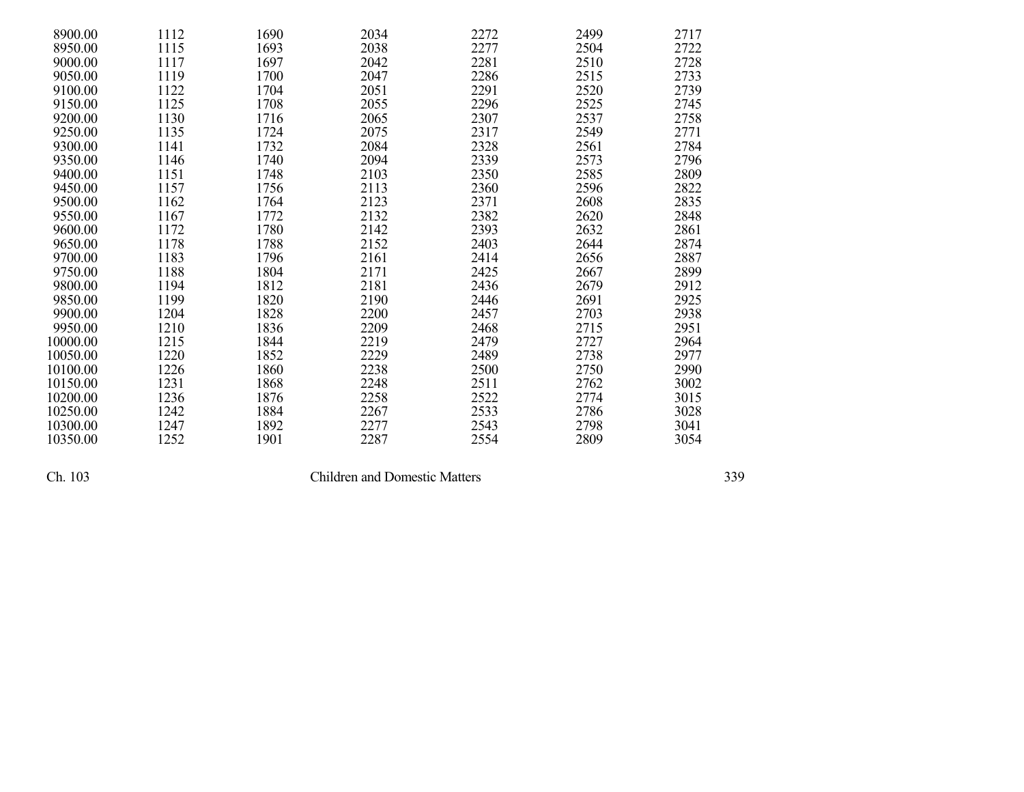| 8900.00  | 1112 | 1690 | 2034 | 2272 | 2499 | 2717 |
|----------|------|------|------|------|------|------|
| 8950.00  | 1115 | 1693 | 2038 | 2277 | 2504 | 2722 |
| 9000.00  | 1117 | 1697 | 2042 | 2281 | 2510 | 2728 |
| 9050.00  | 1119 | 1700 | 2047 | 2286 | 2515 | 2733 |
| 9100.00  | 1122 | 1704 | 2051 | 2291 | 2520 | 2739 |
| 9150.00  | 1125 | 1708 | 2055 | 2296 | 2525 | 2745 |
| 9200.00  | 1130 | 1716 | 2065 | 2307 | 2537 | 2758 |
| 9250.00  | 1135 | 1724 | 2075 | 2317 | 2549 | 2771 |
| 9300.00  | 1141 | 1732 | 2084 | 2328 | 2561 | 2784 |
| 9350.00  | 1146 | 1740 | 2094 | 2339 | 2573 | 2796 |
| 9400.00  | 1151 | 1748 | 2103 | 2350 | 2585 | 2809 |
| 9450.00  | 1157 | 1756 | 2113 | 2360 | 2596 | 2822 |
| 9500.00  | 1162 | 1764 | 2123 | 2371 | 2608 | 2835 |
| 9550.00  | 1167 | 1772 | 2132 | 2382 | 2620 | 2848 |
| 9600.00  | 1172 | 1780 | 2142 | 2393 | 2632 | 2861 |
| 9650.00  | 1178 | 1788 | 2152 | 2403 | 2644 | 2874 |
| 9700.00  | 1183 | 1796 | 2161 | 2414 | 2656 | 2887 |
| 9750.00  | 1188 | 1804 | 2171 | 2425 | 2667 | 2899 |
| 9800.00  | 1194 | 1812 | 2181 | 2436 | 2679 | 2912 |
| 9850.00  | 1199 | 1820 | 2190 | 2446 | 2691 | 2925 |
| 9900.00  | 1204 | 1828 | 2200 | 2457 | 2703 | 2938 |
| 9950.00  | 1210 | 1836 | 2209 | 2468 | 2715 | 2951 |
| 10000.00 | 1215 | 1844 | 2219 | 2479 | 2727 | 2964 |
| 10050.00 | 1220 | 1852 | 2229 | 2489 | 2738 | 2977 |
| 10100.00 | 1226 | 1860 | 2238 | 2500 | 2750 | 2990 |
| 10150.00 | 1231 | 1868 | 2248 | 2511 | 2762 | 3002 |
| 10200.00 | 1236 | 1876 | 2258 | 2522 | 2774 | 3015 |
| 10250.00 | 1242 | 1884 | 2267 | 2533 | 2786 | 3028 |
| 10300.00 | 1247 | 1892 | 2277 | 2543 | 2798 | 3041 |
| 10350.00 | 1252 | 1901 | 2287 | 2554 | 2809 | 3054 |

Children and Domestic Matters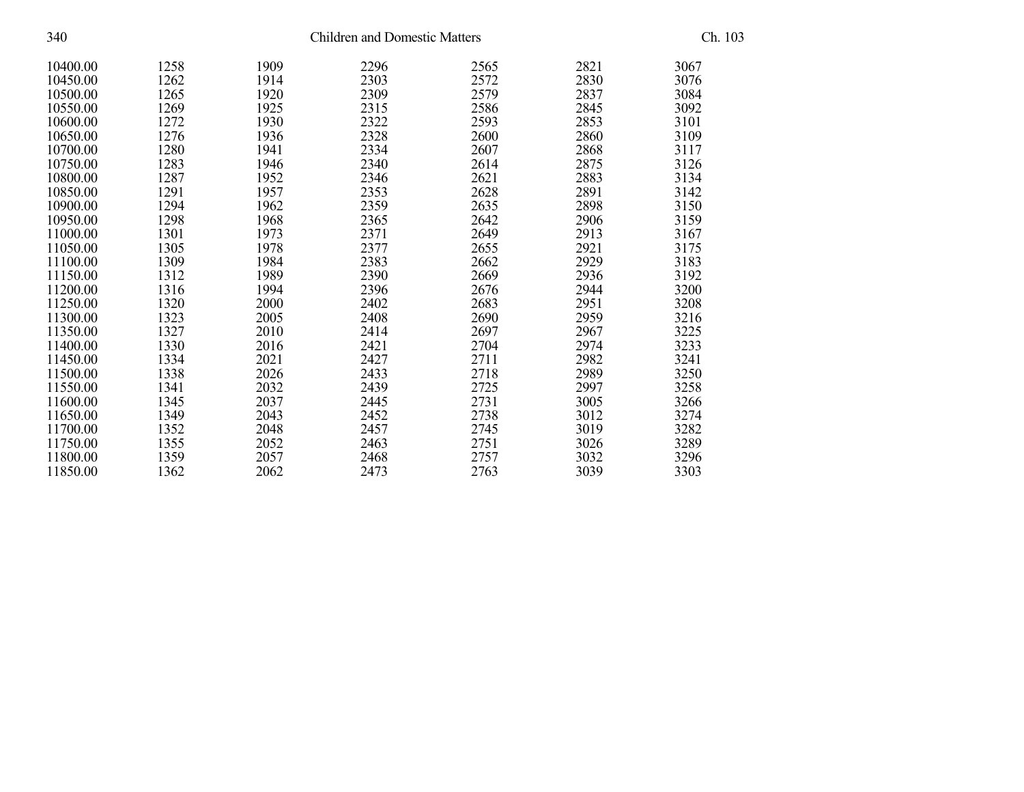| 340      |      | Ch. 103 |      |      |      |      |
|----------|------|---------|------|------|------|------|
| 10400.00 | 1258 | 1909    | 2296 | 2565 | 2821 | 3067 |
| 10450.00 | 1262 | 1914    | 2303 | 2572 | 2830 | 3076 |
| 10500.00 | 1265 | 1920    | 2309 | 2579 | 2837 | 3084 |
| 10550.00 | 1269 | 1925    | 2315 | 2586 | 2845 | 3092 |
| 10600.00 | 1272 | 1930    | 2322 | 2593 | 2853 | 3101 |
| 10650.00 | 1276 | 1936    | 2328 | 2600 | 2860 | 3109 |
| 10700.00 | 1280 | 1941    | 2334 | 2607 | 2868 | 3117 |
| 10750.00 | 1283 | 1946    | 2340 | 2614 | 2875 | 3126 |
| 10800.00 | 1287 | 1952    | 2346 | 2621 | 2883 | 3134 |
| 10850.00 | 1291 | 1957    | 2353 | 2628 | 2891 | 3142 |
| 10900.00 | 1294 | 1962    | 2359 | 2635 | 2898 | 3150 |
| 10950.00 | 1298 | 1968    | 2365 | 2642 | 2906 | 3159 |
| 11000.00 | 1301 | 1973    | 2371 | 2649 | 2913 | 3167 |
| 11050.00 | 1305 | 1978    | 2377 | 2655 | 2921 | 3175 |
| 11100.00 | 1309 | 1984    | 2383 | 2662 | 2929 | 3183 |
| 11150.00 | 1312 | 1989    | 2390 | 2669 | 2936 | 3192 |
| 11200.00 | 1316 | 1994    | 2396 | 2676 | 2944 | 3200 |
| 11250.00 | 1320 | 2000    | 2402 | 2683 | 2951 | 3208 |
| 11300.00 | 1323 | 2005    | 2408 | 2690 | 2959 | 3216 |
| 11350.00 | 1327 | 2010    | 2414 | 2697 | 2967 | 3225 |
| 11400.00 | 1330 | 2016    | 2421 | 2704 | 2974 | 3233 |
| 11450.00 | 1334 | 2021    | 2427 | 2711 | 2982 | 3241 |
| 11500.00 | 1338 | 2026    | 2433 | 2718 | 2989 | 3250 |
| 11550.00 | 1341 | 2032    | 2439 | 2725 | 2997 | 3258 |
| 11600.00 | 1345 | 2037    | 2445 | 2731 | 3005 | 3266 |
| 11650.00 | 1349 | 2043    | 2452 | 2738 | 3012 | 3274 |
| 11700.00 | 1352 | 2048    | 2457 | 2745 | 3019 | 3282 |
| 11750.00 | 1355 | 2052    | 2463 | 2751 | 3026 | 3289 |
| 11800.00 | 1359 | 2057    | 2468 | 2757 | 3032 | 3296 |
| 11850.00 | 1362 | 2062    | 2473 | 2763 | 3039 | 3303 |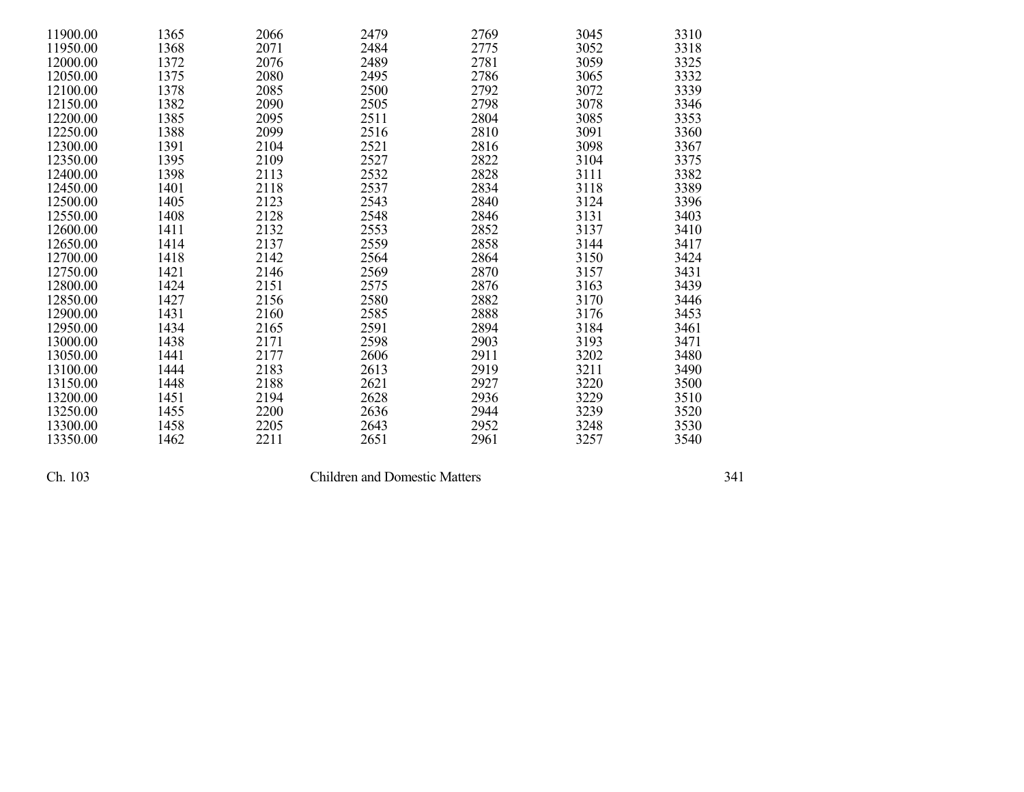| 11900.00 | 1365 | 2066 | 2479 | 2769 | 3045 | 3310 |
|----------|------|------|------|------|------|------|
| 11950.00 | 1368 | 2071 | 2484 | 2775 | 3052 | 3318 |
| 12000.00 | 1372 | 2076 | 2489 | 2781 | 3059 | 3325 |
| 12050.00 | 1375 | 2080 | 2495 | 2786 | 3065 | 3332 |
| 12100.00 | 1378 | 2085 | 2500 | 2792 | 3072 | 3339 |
| 12150.00 | 1382 | 2090 | 2505 | 2798 | 3078 | 3346 |
| 12200.00 | 1385 | 2095 | 2511 | 2804 | 3085 | 3353 |
| 12250.00 | 1388 | 2099 | 2516 | 2810 | 3091 | 3360 |
| 12300.00 | 1391 | 2104 | 2521 | 2816 | 3098 | 3367 |
| 12350.00 | 1395 | 2109 | 2527 | 2822 | 3104 | 3375 |
| 12400.00 | 1398 | 2113 | 2532 | 2828 | 3111 | 3382 |
| 12450.00 | 1401 | 2118 | 2537 | 2834 | 3118 | 3389 |
| 12500.00 | 1405 | 2123 | 2543 | 2840 | 3124 | 3396 |
| 12550.00 | 1408 | 2128 | 2548 | 2846 | 3131 | 3403 |
| 12600.00 | 1411 | 2132 | 2553 | 2852 | 3137 | 3410 |
| 12650.00 | 1414 | 2137 | 2559 | 2858 | 3144 | 3417 |
| 12700.00 | 1418 | 2142 | 2564 | 2864 | 3150 | 3424 |
| 12750.00 | 1421 | 2146 | 2569 | 2870 | 3157 | 3431 |
| 12800.00 | 1424 | 2151 | 2575 | 2876 | 3163 | 3439 |
| 12850.00 | 1427 | 2156 | 2580 | 2882 | 3170 | 3446 |
| 12900.00 | 1431 | 2160 | 2585 | 2888 | 3176 | 3453 |
| 12950.00 | 1434 | 2165 | 2591 | 2894 | 3184 | 3461 |
| 13000.00 | 1438 | 2171 | 2598 | 2903 | 3193 | 3471 |
| 13050.00 | 1441 | 2177 | 2606 | 2911 | 3202 | 3480 |
| 13100.00 | 1444 | 2183 | 2613 | 2919 | 3211 | 3490 |
| 13150.00 | 1448 | 2188 | 2621 | 2927 | 3220 | 3500 |
| 13200.00 | 1451 | 2194 | 2628 | 2936 | 3229 | 3510 |
| 13250.00 | 1455 | 2200 | 2636 | 2944 | 3239 | 3520 |
| 13300.00 | 1458 | 2205 | 2643 | 2952 | 3248 | 3530 |
| 13350.00 | 1462 | 2211 | 2651 | 2961 | 3257 | 3540 |

Children and Domestic Matters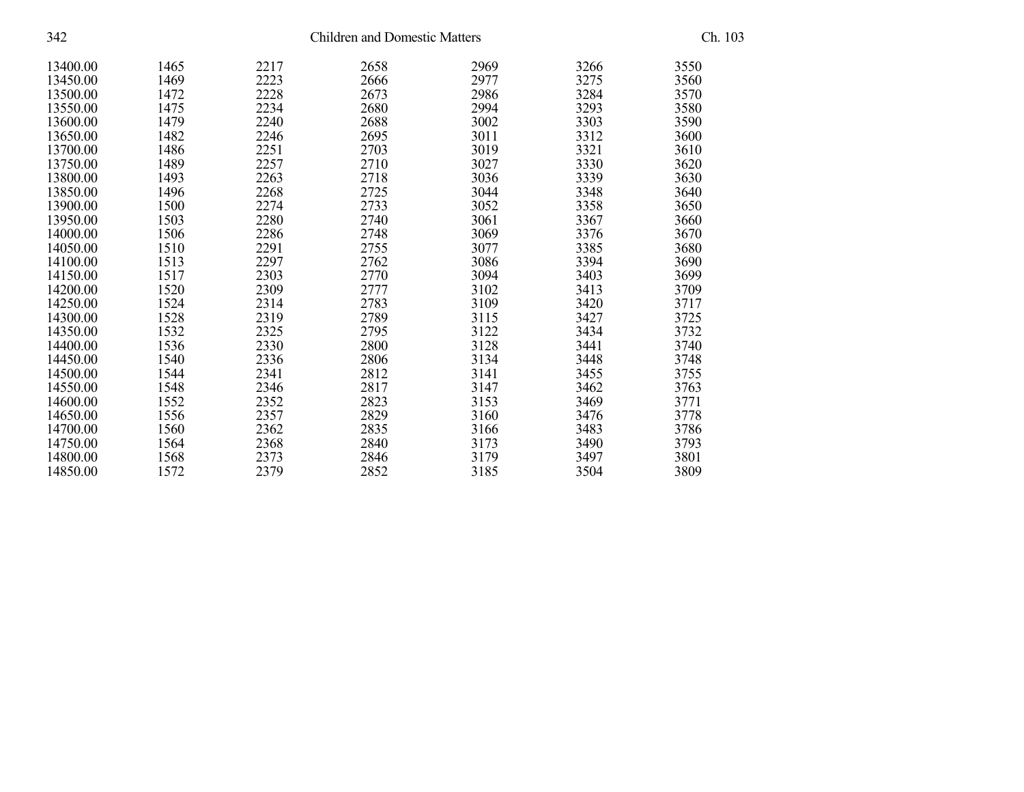| 342      | <b>Children and Domestic Matters</b> |      |      |      |      | Ch. 103 |  |
|----------|--------------------------------------|------|------|------|------|---------|--|
| 13400.00 | 1465                                 | 2217 | 2658 | 2969 | 3266 | 3550    |  |
| 13450.00 | 1469                                 | 2223 | 2666 | 2977 | 3275 | 3560    |  |
| 13500.00 | 1472                                 | 2228 | 2673 | 2986 | 3284 | 3570    |  |
| 13550.00 | 1475                                 | 2234 | 2680 | 2994 | 3293 | 3580    |  |
| 13600.00 | 1479                                 | 2240 | 2688 | 3002 | 3303 | 3590    |  |
| 13650.00 | 1482                                 | 2246 | 2695 | 3011 | 3312 | 3600    |  |
| 13700.00 | 1486                                 | 2251 | 2703 | 3019 | 3321 | 3610    |  |
| 13750.00 | 1489                                 | 2257 | 2710 | 3027 | 3330 | 3620    |  |
| 13800.00 | 1493                                 | 2263 | 2718 | 3036 | 3339 | 3630    |  |
| 13850.00 | 1496                                 | 2268 | 2725 | 3044 | 3348 | 3640    |  |
| 13900.00 | 1500                                 | 2274 | 2733 | 3052 | 3358 | 3650    |  |
| 13950.00 | 1503                                 | 2280 | 2740 | 3061 | 3367 | 3660    |  |
| 14000.00 | 1506                                 | 2286 | 2748 | 3069 | 3376 | 3670    |  |
| 14050.00 | 1510                                 | 2291 | 2755 | 3077 | 3385 | 3680    |  |
| 14100.00 | 1513                                 | 2297 | 2762 | 3086 | 3394 | 3690    |  |
| 14150.00 | 1517                                 | 2303 | 2770 | 3094 | 3403 | 3699    |  |
| 14200.00 | 1520                                 | 2309 | 2777 | 3102 | 3413 | 3709    |  |
| 14250.00 | 1524                                 | 2314 | 2783 | 3109 | 3420 | 3717    |  |
| 14300.00 | 1528                                 | 2319 | 2789 | 3115 | 3427 | 3725    |  |
| 14350.00 | 1532                                 | 2325 | 2795 | 3122 | 3434 | 3732    |  |
| 14400.00 | 1536                                 | 2330 | 2800 | 3128 | 3441 | 3740    |  |
| 14450.00 | 1540                                 | 2336 | 2806 | 3134 | 3448 | 3748    |  |
| 14500.00 | 1544                                 | 2341 | 2812 | 3141 | 3455 | 3755    |  |
| 14550.00 | 1548                                 | 2346 | 2817 | 3147 | 3462 | 3763    |  |
| 14600.00 | 1552                                 | 2352 | 2823 | 3153 | 3469 | 3771    |  |
| 14650.00 | 1556                                 | 2357 | 2829 | 3160 | 3476 | 3778    |  |
| 14700.00 | 1560                                 | 2362 | 2835 | 3166 | 3483 | 3786    |  |
| 14750.00 | 1564                                 | 2368 | 2840 | 3173 | 3490 | 3793    |  |
| 14800.00 | 1568                                 | 2373 | 2846 | 3179 | 3497 | 3801    |  |
| 14850.00 | 1572                                 | 2379 | 2852 | 3185 | 3504 | 3809    |  |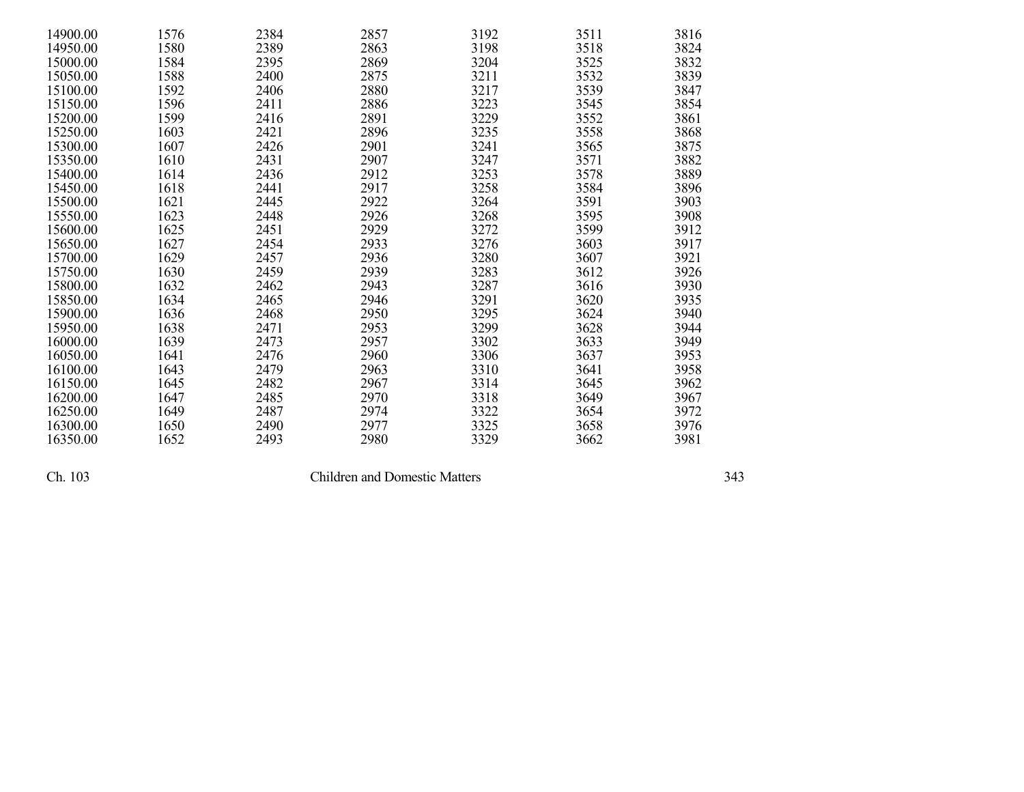| 14900.00 | 1576 | 2384 | 2857 | 3192 | 3511 | 3816 |
|----------|------|------|------|------|------|------|
| 14950.00 | 1580 | 2389 | 2863 | 3198 | 3518 | 3824 |
| 15000.00 | 1584 | 2395 | 2869 | 3204 | 3525 | 3832 |
| 15050.00 | 1588 | 2400 | 2875 | 3211 | 3532 | 3839 |
| 15100.00 | 1592 | 2406 | 2880 | 3217 | 3539 | 3847 |
| 15150.00 | 1596 | 2411 | 2886 | 3223 | 3545 | 3854 |
| 15200.00 | 1599 | 2416 | 2891 | 3229 | 3552 | 3861 |
| 15250.00 | 1603 | 2421 | 2896 | 3235 | 3558 | 3868 |
| 15300.00 | 1607 | 2426 | 2901 | 3241 | 3565 | 3875 |
| 15350.00 | 1610 | 2431 | 2907 | 3247 | 3571 | 3882 |
| 15400.00 | 1614 | 2436 | 2912 | 3253 | 3578 | 3889 |
| 15450.00 | 1618 | 2441 | 2917 | 3258 | 3584 | 3896 |
| 15500.00 | 1621 | 2445 | 2922 | 3264 | 3591 | 3903 |
| 15550.00 | 1623 | 2448 | 2926 | 3268 | 3595 | 3908 |
| 15600.00 | 1625 | 2451 | 2929 | 3272 | 3599 | 3912 |
| 15650.00 | 1627 | 2454 | 2933 | 3276 | 3603 | 3917 |
| 15700.00 | 1629 | 2457 | 2936 | 3280 | 3607 | 3921 |
| 15750.00 | 1630 | 2459 | 2939 | 3283 | 3612 | 3926 |
| 15800.00 | 1632 | 2462 | 2943 | 3287 | 3616 | 3930 |
| 15850.00 | 1634 | 2465 | 2946 | 3291 | 3620 | 3935 |
| 15900.00 | 1636 | 2468 | 2950 | 3295 | 3624 | 3940 |
| 15950.00 | 1638 | 2471 | 2953 | 3299 | 3628 | 3944 |
| 16000.00 | 1639 | 2473 | 2957 | 3302 | 3633 | 3949 |
| 16050.00 | 1641 | 2476 | 2960 | 3306 | 3637 | 3953 |
| 16100.00 | 1643 | 2479 | 2963 | 3310 | 3641 | 3958 |
| 16150.00 | 1645 | 2482 | 2967 | 3314 | 3645 | 3962 |
| 16200.00 | 1647 | 2485 | 2970 | 3318 | 3649 | 3967 |
| 16250.00 | 1649 | 2487 | 2974 | 3322 | 3654 | 3972 |
| 16300.00 | 1650 | 2490 | 2977 | 3325 | 3658 | 3976 |
| 16350.00 | 1652 | 2493 | 2980 | 3329 | 3662 | 3981 |

Children and Domestic Matters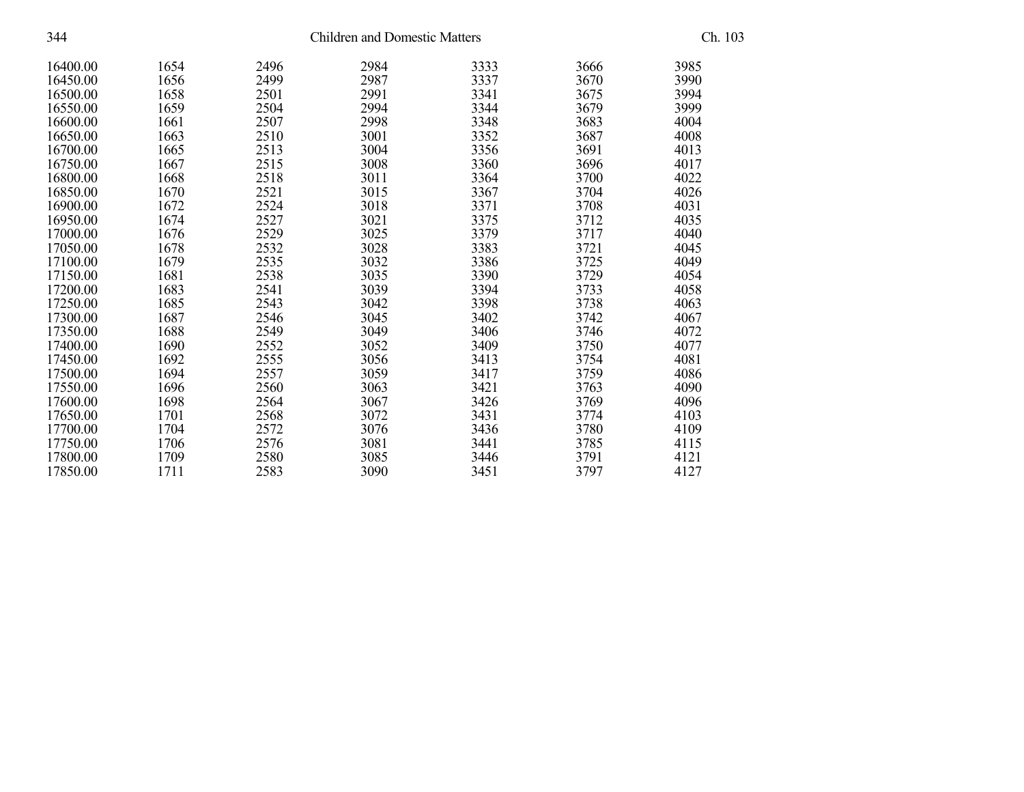| 344      |      | Ch. 103 |      |      |      |      |
|----------|------|---------|------|------|------|------|
| 16400.00 | 1654 | 2496    | 2984 | 3333 | 3666 | 3985 |
| 16450.00 | 1656 | 2499    | 2987 | 3337 | 3670 | 3990 |
| 16500.00 | 1658 | 2501    | 2991 | 3341 | 3675 | 3994 |
| 16550.00 | 1659 | 2504    | 2994 | 3344 | 3679 | 3999 |
| 16600.00 | 1661 | 2507    | 2998 | 3348 | 3683 | 4004 |
| 16650.00 | 1663 | 2510    | 3001 | 3352 | 3687 | 4008 |
| 16700.00 | 1665 | 2513    | 3004 | 3356 | 3691 | 4013 |
| 16750.00 | 1667 | 2515    | 3008 | 3360 | 3696 | 4017 |
| 16800.00 | 1668 | 2518    | 3011 | 3364 | 3700 | 4022 |
| 16850.00 | 1670 | 2521    | 3015 | 3367 | 3704 | 4026 |
| 16900.00 | 1672 | 2524    | 3018 | 3371 | 3708 | 4031 |
| 16950.00 | 1674 | 2527    | 3021 | 3375 | 3712 | 4035 |
| 17000.00 | 1676 | 2529    | 3025 | 3379 | 3717 | 4040 |
| 17050.00 | 1678 | 2532    | 3028 | 3383 | 3721 | 4045 |
| 17100.00 | 1679 | 2535    | 3032 | 3386 | 3725 | 4049 |
| 17150.00 | 1681 | 2538    | 3035 | 3390 | 3729 | 4054 |
| 17200.00 | 1683 | 2541    | 3039 | 3394 | 3733 | 4058 |
| 17250.00 | 1685 | 2543    | 3042 | 3398 | 3738 | 4063 |
| 17300.00 | 1687 | 2546    | 3045 | 3402 | 3742 | 4067 |
| 17350.00 | 1688 | 2549    | 3049 | 3406 | 3746 | 4072 |
| 17400.00 | 1690 | 2552    | 3052 | 3409 | 3750 | 4077 |
| 17450.00 | 1692 | 2555    | 3056 | 3413 | 3754 | 4081 |
| 17500.00 | 1694 | 2557    | 3059 | 3417 | 3759 | 4086 |
| 17550.00 | 1696 | 2560    | 3063 | 3421 | 3763 | 4090 |
| 17600.00 | 1698 | 2564    | 3067 | 3426 | 3769 | 4096 |
| 17650.00 | 1701 | 2568    | 3072 | 3431 | 3774 | 4103 |
| 17700.00 | 1704 | 2572    | 3076 | 3436 | 3780 | 4109 |
| 17750.00 | 1706 | 2576    | 3081 | 3441 | 3785 | 4115 |
| 17800.00 | 1709 | 2580    | 3085 | 3446 | 3791 | 4121 |
| 17850.00 | 1711 | 2583    | 3090 | 3451 | 3797 | 4127 |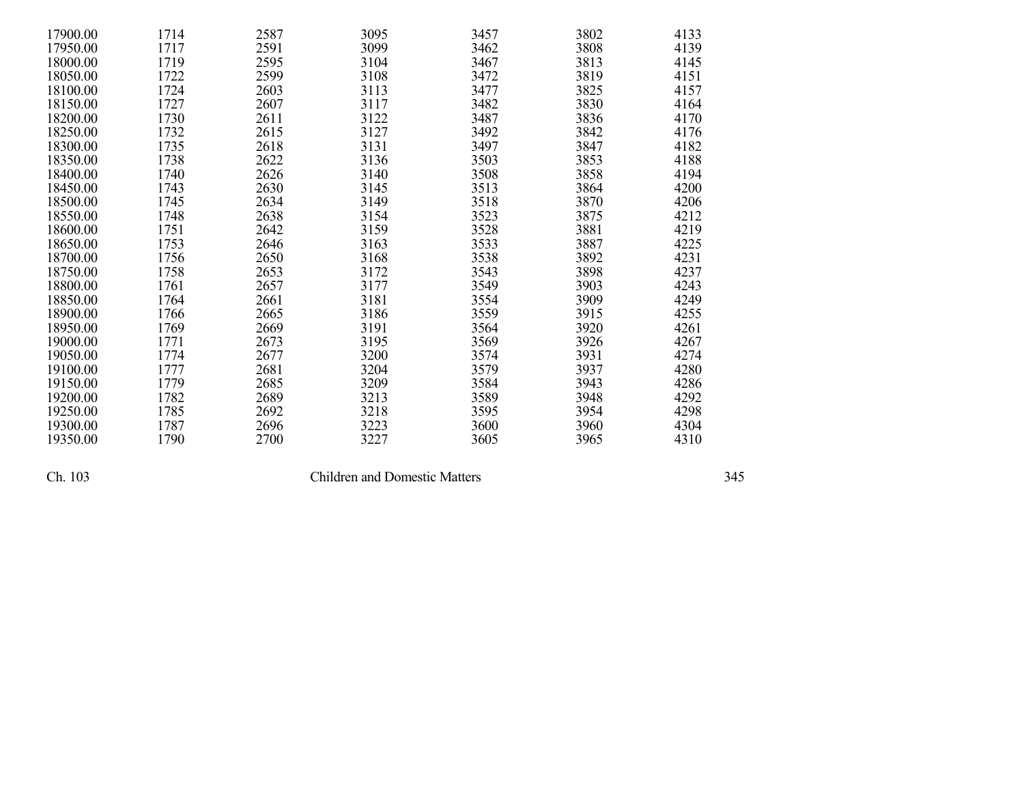| 17900.00 | 1714 | 2587 | 3095 | 3457 | 3802 | 4133 |
|----------|------|------|------|------|------|------|
| 17950.00 | 1717 | 2591 | 3099 | 3462 | 3808 | 4139 |
| 18000.00 | 1719 | 2595 | 3104 | 3467 | 3813 | 4145 |
| 18050.00 | 1722 | 2599 | 3108 | 3472 | 3819 | 4151 |
| 18100.00 | 1724 | 2603 | 3113 | 3477 | 3825 | 4157 |
| 18150.00 | 1727 | 2607 | 3117 | 3482 | 3830 | 4164 |
| 18200.00 | 1730 | 2611 | 3122 | 3487 | 3836 | 4170 |
| 18250.00 | 1732 | 2615 | 3127 | 3492 | 3842 | 4176 |
| 18300.00 | 1735 | 2618 | 3131 | 3497 | 3847 | 4182 |
| 18350.00 | 1738 | 2622 | 3136 | 3503 | 3853 | 4188 |
| 18400.00 | 1740 | 2626 | 3140 | 3508 | 3858 | 4194 |
| 18450.00 | 1743 | 2630 | 3145 | 3513 | 3864 | 4200 |
| 18500.00 | 1745 | 2634 | 3149 | 3518 | 3870 | 4206 |
| 18550.00 | 1748 | 2638 | 3154 | 3523 | 3875 | 4212 |
| 18600.00 | 1751 | 2642 | 3159 | 3528 | 3881 | 4219 |
| 18650.00 | 1753 | 2646 | 3163 | 3533 | 3887 | 4225 |
| 18700.00 | 1756 | 2650 | 3168 | 3538 | 3892 | 4231 |
| 18750.00 | 1758 | 2653 | 3172 | 3543 | 3898 | 4237 |
| 18800.00 | 1761 | 2657 | 3177 | 3549 | 3903 | 4243 |
| 18850.00 | 1764 | 2661 | 3181 | 3554 | 3909 | 4249 |
| 18900.00 | 1766 | 2665 | 3186 | 3559 | 3915 | 4255 |
| 18950.00 | 1769 | 2669 | 3191 | 3564 | 3920 | 4261 |
| 19000.00 | 1771 | 2673 | 3195 | 3569 | 3926 | 4267 |
| 19050.00 | 1774 | 2677 | 3200 | 3574 | 3931 | 4274 |
| 19100.00 | 1777 | 2681 | 3204 | 3579 | 3937 | 4280 |
| 19150.00 | 1779 | 2685 | 3209 | 3584 | 3943 | 4286 |
| 19200.00 | 1782 | 2689 | 3213 | 3589 | 3948 | 4292 |
| 19250.00 | 1785 | 2692 | 3218 | 3595 | 3954 | 4298 |
| 19300.00 | 1787 | 2696 | 3223 | 3600 | 3960 | 4304 |
| 19350.00 | 1790 | 2700 | 3227 | 3605 | 3965 | 4310 |

Children and Domestic Matters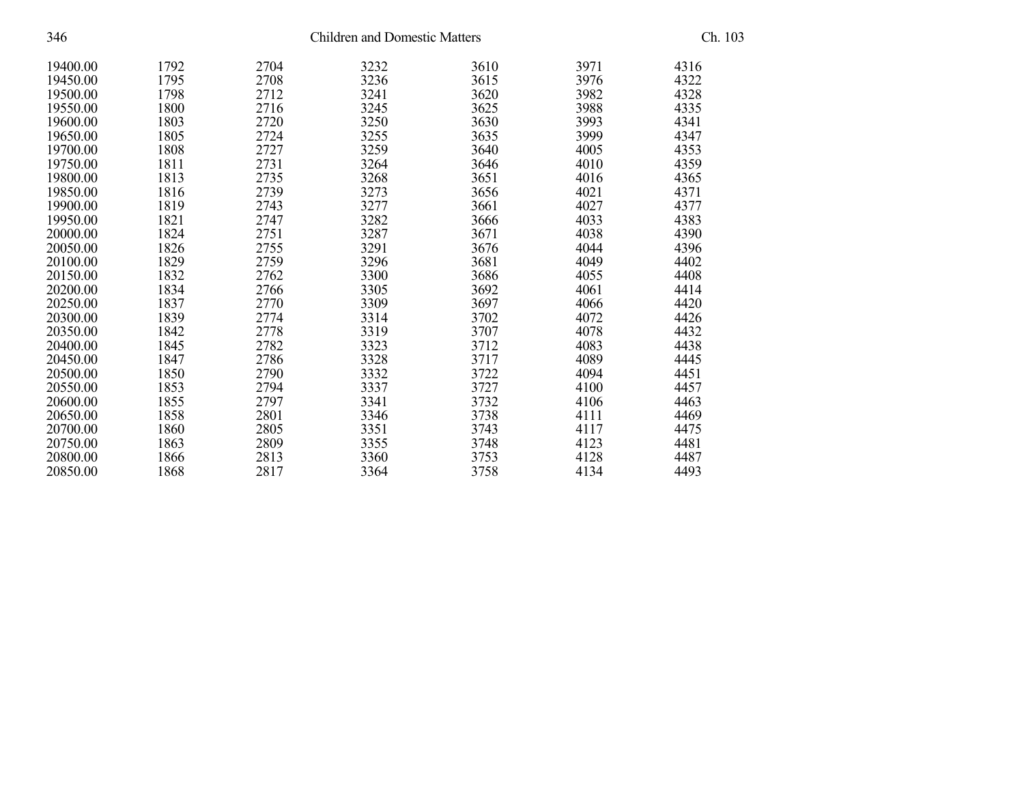| 346      | <b>Children and Domestic Matters</b> |      |      |      |      | Ch. 103 |  |
|----------|--------------------------------------|------|------|------|------|---------|--|
| 19400.00 | 1792                                 | 2704 | 3232 | 3610 | 3971 | 4316    |  |
| 19450.00 | 1795                                 | 2708 | 3236 | 3615 | 3976 | 4322    |  |
| 19500.00 | 1798                                 | 2712 | 3241 | 3620 | 3982 | 4328    |  |
| 19550.00 | 1800                                 | 2716 | 3245 | 3625 | 3988 | 4335    |  |
| 19600.00 | 1803                                 | 2720 | 3250 | 3630 | 3993 | 4341    |  |
| 19650.00 | 1805                                 | 2724 | 3255 | 3635 | 3999 | 4347    |  |
| 19700.00 | 1808                                 | 2727 | 3259 | 3640 | 4005 | 4353    |  |
| 19750.00 | 1811                                 | 2731 | 3264 | 3646 | 4010 | 4359    |  |
| 19800.00 | 1813                                 | 2735 | 3268 | 3651 | 4016 | 4365    |  |
| 19850.00 | 1816                                 | 2739 | 3273 | 3656 | 4021 | 4371    |  |
| 19900.00 | 1819                                 | 2743 | 3277 | 3661 | 4027 | 4377    |  |
| 19950.00 | 1821                                 | 2747 | 3282 | 3666 | 4033 | 4383    |  |
| 20000.00 | 1824                                 | 2751 | 3287 | 3671 | 4038 | 4390    |  |
| 20050.00 | 1826                                 | 2755 | 3291 | 3676 | 4044 | 4396    |  |
| 20100.00 | 1829                                 | 2759 | 3296 | 3681 | 4049 | 4402    |  |
| 20150.00 | 1832                                 | 2762 | 3300 | 3686 | 4055 | 4408    |  |
| 20200.00 | 1834                                 | 2766 | 3305 | 3692 | 4061 | 4414    |  |
| 20250.00 | 1837                                 | 2770 | 3309 | 3697 | 4066 | 4420    |  |
| 20300.00 | 1839                                 | 2774 | 3314 | 3702 | 4072 | 4426    |  |
| 20350.00 | 1842                                 | 2778 | 3319 | 3707 | 4078 | 4432    |  |
| 20400.00 | 1845                                 | 2782 | 3323 | 3712 | 4083 | 4438    |  |
| 20450.00 | 1847                                 | 2786 | 3328 | 3717 | 4089 | 4445    |  |
| 20500.00 | 1850                                 | 2790 | 3332 | 3722 | 4094 | 4451    |  |
| 20550.00 | 1853                                 | 2794 | 3337 | 3727 | 4100 | 4457    |  |
| 20600.00 | 1855                                 | 2797 | 3341 | 3732 | 4106 | 4463    |  |
| 20650.00 | 1858                                 | 2801 | 3346 | 3738 | 4111 | 4469    |  |
| 20700.00 | 1860                                 | 2805 | 3351 | 3743 | 4117 | 4475    |  |
| 20750.00 | 1863                                 | 2809 | 3355 | 3748 | 4123 | 4481    |  |
| 20800.00 | 1866                                 | 2813 | 3360 | 3753 | 4128 | 4487    |  |
| 20850.00 | 1868                                 | 2817 | 3364 | 3758 | 4134 | 4493    |  |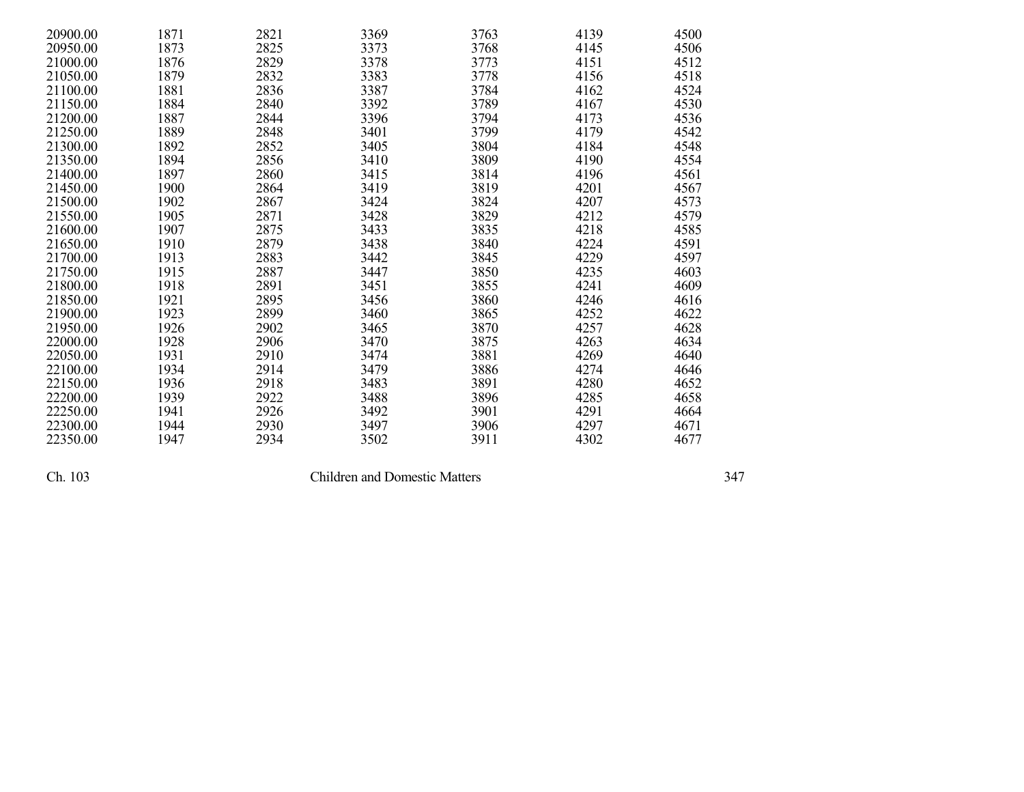| 20900.00 | 1871 | 2821 | 3369 | 3763 | 4139 | 4500 |
|----------|------|------|------|------|------|------|
| 20950.00 | 1873 | 2825 | 3373 | 3768 | 4145 | 4506 |
| 21000.00 | 1876 | 2829 | 3378 | 3773 | 4151 | 4512 |
| 21050.00 | 1879 | 2832 | 3383 | 3778 | 4156 | 4518 |
| 21100.00 | 1881 | 2836 | 3387 | 3784 | 4162 | 4524 |
| 21150.00 | 1884 | 2840 | 3392 | 3789 | 4167 | 4530 |
| 21200.00 | 1887 | 2844 | 3396 | 3794 | 4173 | 4536 |
| 21250.00 | 1889 | 2848 | 3401 | 3799 | 4179 | 4542 |
| 21300.00 | 1892 | 2852 | 3405 | 3804 | 4184 | 4548 |
| 21350.00 | 1894 | 2856 | 3410 | 3809 | 4190 | 4554 |
| 21400.00 | 1897 | 2860 | 3415 | 3814 | 4196 | 4561 |
| 21450.00 | 1900 | 2864 | 3419 | 3819 | 4201 | 4567 |
| 21500.00 | 1902 | 2867 | 3424 | 3824 | 4207 | 4573 |
| 21550.00 | 1905 | 2871 | 3428 | 3829 | 4212 | 4579 |
| 21600.00 | 1907 | 2875 | 3433 | 3835 | 4218 | 4585 |
| 21650.00 | 1910 | 2879 | 3438 | 3840 | 4224 | 4591 |
| 21700.00 | 1913 | 2883 | 3442 | 3845 | 4229 | 4597 |
| 21750.00 | 1915 | 2887 | 3447 | 3850 | 4235 | 4603 |
| 21800.00 | 1918 | 2891 | 3451 | 3855 | 4241 | 4609 |
| 21850.00 | 1921 | 2895 | 3456 | 3860 | 4246 | 4616 |
| 21900.00 | 1923 | 2899 | 3460 | 3865 | 4252 | 4622 |
| 21950.00 | 1926 | 2902 | 3465 | 3870 | 4257 | 4628 |
| 22000.00 | 1928 | 2906 | 3470 | 3875 | 4263 | 4634 |
| 22050.00 | 1931 | 2910 | 3474 | 3881 | 4269 | 4640 |
| 22100.00 | 1934 | 2914 | 3479 | 3886 | 4274 | 4646 |
| 22150.00 | 1936 | 2918 | 3483 | 3891 | 4280 | 4652 |
| 22200.00 | 1939 | 2922 | 3488 | 3896 | 4285 | 4658 |
| 22250.00 | 1941 | 2926 | 3492 | 3901 | 4291 | 4664 |
| 22300.00 | 1944 | 2930 | 3497 | 3906 | 4297 | 4671 |
| 22350.00 | 1947 | 2934 | 3502 | 3911 | 4302 | 4677 |

Children and Domestic Matters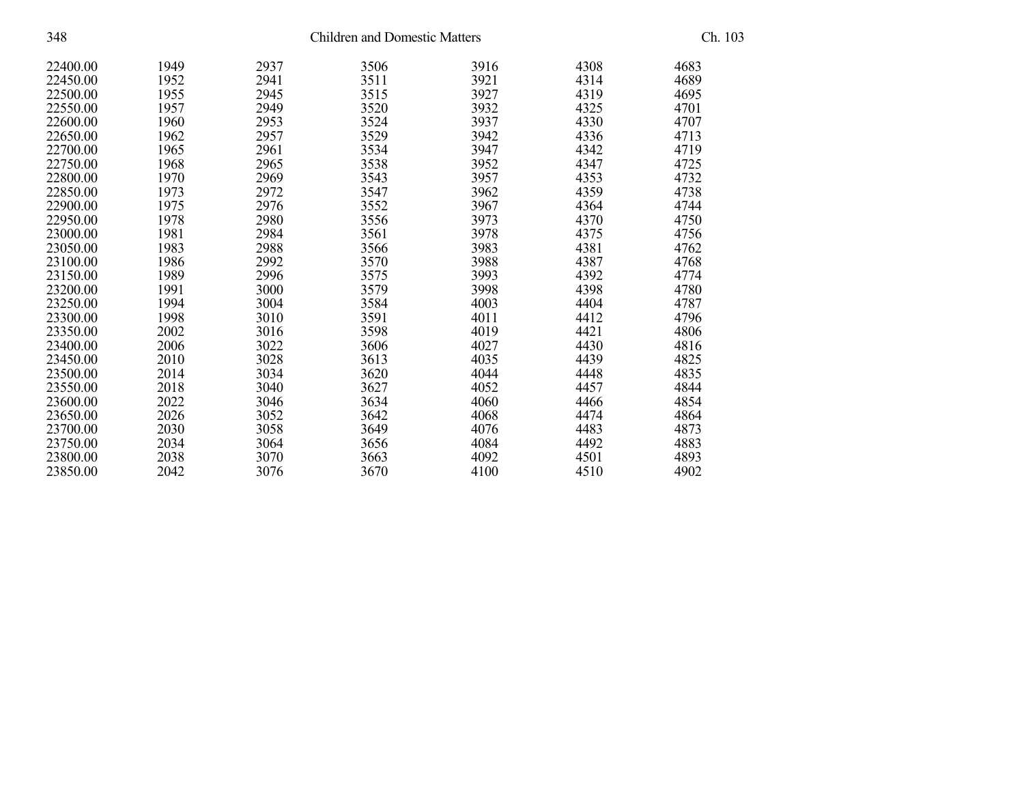| 348      | <b>Children and Domestic Matters</b> |      |      |      |      | Ch. 103 |  |
|----------|--------------------------------------|------|------|------|------|---------|--|
| 22400.00 | 1949                                 | 2937 | 3506 | 3916 | 4308 | 4683    |  |
| 22450.00 | 1952                                 | 2941 | 3511 | 3921 | 4314 | 4689    |  |
| 22500.00 | 1955                                 | 2945 | 3515 | 3927 | 4319 | 4695    |  |
| 22550.00 | 1957                                 | 2949 | 3520 | 3932 | 4325 | 4701    |  |
| 22600.00 | 1960                                 | 2953 | 3524 | 3937 | 4330 | 4707    |  |
| 22650.00 | 1962                                 | 2957 | 3529 | 3942 | 4336 | 4713    |  |
| 22700.00 | 1965                                 | 2961 | 3534 | 3947 | 4342 | 4719    |  |
| 22750.00 | 1968                                 | 2965 | 3538 | 3952 | 4347 | 4725    |  |
| 22800.00 | 1970                                 | 2969 | 3543 | 3957 | 4353 | 4732    |  |
| 22850.00 | 1973                                 | 2972 | 3547 | 3962 | 4359 | 4738    |  |
| 22900.00 | 1975                                 | 2976 | 3552 | 3967 | 4364 | 4744    |  |
| 22950.00 | 1978                                 | 2980 | 3556 | 3973 | 4370 | 4750    |  |
| 23000.00 | 1981                                 | 2984 | 3561 | 3978 | 4375 | 4756    |  |
| 23050.00 | 1983                                 | 2988 | 3566 | 3983 | 4381 | 4762    |  |
| 23100.00 | 1986                                 | 2992 | 3570 | 3988 | 4387 | 4768    |  |
| 23150.00 | 1989                                 | 2996 | 3575 | 3993 | 4392 | 4774    |  |
| 23200.00 | 1991                                 | 3000 | 3579 | 3998 | 4398 | 4780    |  |
| 23250.00 | 1994                                 | 3004 | 3584 | 4003 | 4404 | 4787    |  |
| 23300.00 | 1998                                 | 3010 | 3591 | 4011 | 4412 | 4796    |  |
| 23350.00 | 2002                                 | 3016 | 3598 | 4019 | 4421 | 4806    |  |
| 23400.00 | 2006                                 | 3022 | 3606 | 4027 | 4430 | 4816    |  |
| 23450.00 | 2010                                 | 3028 | 3613 | 4035 | 4439 | 4825    |  |
| 23500.00 | 2014                                 | 3034 | 3620 | 4044 | 4448 | 4835    |  |
| 23550.00 | 2018                                 | 3040 | 3627 | 4052 | 4457 | 4844    |  |
| 23600.00 | 2022                                 | 3046 | 3634 | 4060 | 4466 | 4854    |  |
| 23650.00 | 2026                                 | 3052 | 3642 | 4068 | 4474 | 4864    |  |
| 23700.00 | 2030                                 | 3058 | 3649 | 4076 | 4483 | 4873    |  |
| 23750.00 | 2034                                 | 3064 | 3656 | 4084 | 4492 | 4883    |  |
| 23800.00 | 2038                                 | 3070 | 3663 | 4092 | 4501 | 4893    |  |
| 23850.00 | 2042                                 | 3076 | 3670 | 4100 | 4510 | 4902    |  |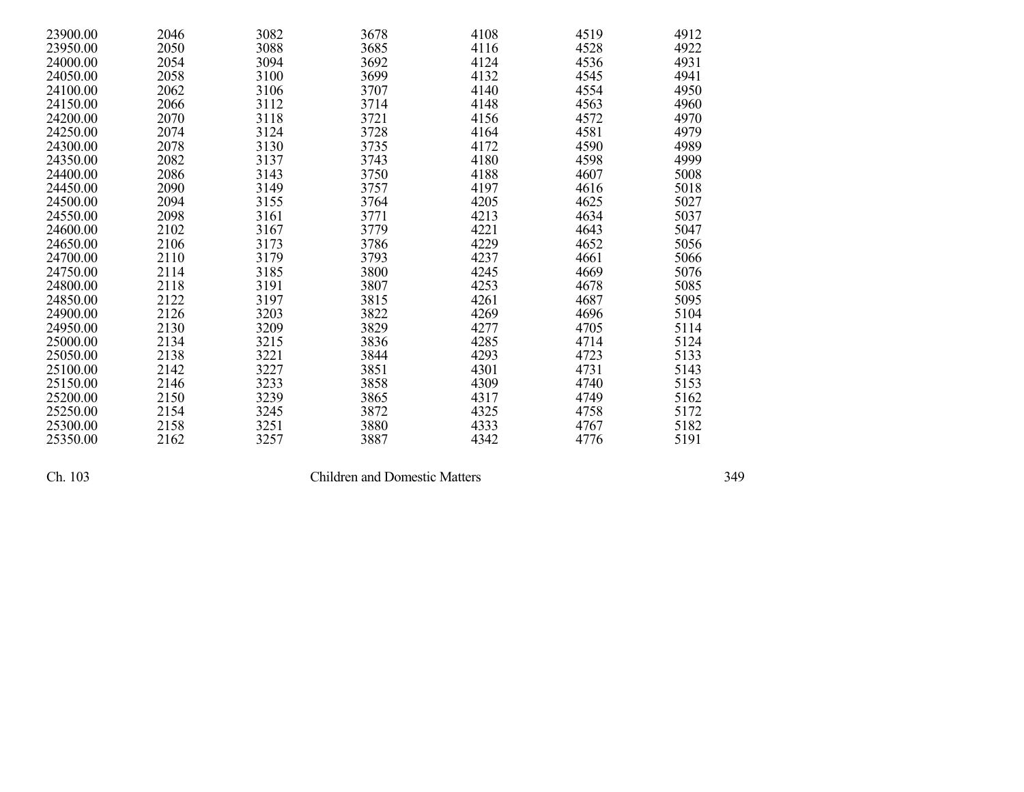| 23900.00 | 2046 | 3082 | 3678 | 4108 | 4519 | 4912 |
|----------|------|------|------|------|------|------|
| 23950.00 | 2050 | 3088 | 3685 | 4116 | 4528 | 4922 |
| 24000.00 | 2054 | 3094 | 3692 | 4124 | 4536 | 4931 |
| 24050.00 | 2058 | 3100 | 3699 | 4132 | 4545 | 4941 |
| 24100.00 | 2062 | 3106 | 3707 | 4140 | 4554 | 4950 |
| 24150.00 | 2066 | 3112 | 3714 | 4148 | 4563 | 4960 |
| 24200.00 | 2070 | 3118 | 3721 | 4156 | 4572 | 4970 |
| 24250.00 | 2074 | 3124 | 3728 | 4164 | 4581 | 4979 |
| 24300.00 | 2078 | 3130 | 3735 | 4172 | 4590 | 4989 |
| 24350.00 | 2082 | 3137 | 3743 | 4180 | 4598 | 4999 |
| 24400.00 | 2086 | 3143 | 3750 | 4188 | 4607 | 5008 |
| 24450.00 | 2090 | 3149 | 3757 | 4197 | 4616 | 5018 |
| 24500.00 | 2094 | 3155 | 3764 | 4205 | 4625 | 5027 |
| 24550.00 | 2098 | 3161 | 3771 | 4213 | 4634 | 5037 |
| 24600.00 | 2102 | 3167 | 3779 | 4221 | 4643 | 5047 |
| 24650.00 | 2106 | 3173 | 3786 | 4229 | 4652 | 5056 |
| 24700.00 | 2110 | 3179 | 3793 | 4237 | 4661 | 5066 |
| 24750.00 | 2114 | 3185 | 3800 | 4245 | 4669 | 5076 |
| 24800.00 | 2118 | 3191 | 3807 | 4253 | 4678 | 5085 |
| 24850.00 | 2122 | 3197 | 3815 | 4261 | 4687 | 5095 |
| 24900.00 | 2126 | 3203 | 3822 | 4269 | 4696 | 5104 |
| 24950.00 | 2130 | 3209 | 3829 | 4277 | 4705 | 5114 |
| 25000.00 | 2134 | 3215 | 3836 | 4285 | 4714 | 5124 |
| 25050.00 | 2138 | 3221 | 3844 | 4293 | 4723 | 5133 |
| 25100.00 | 2142 | 3227 | 3851 | 4301 | 4731 | 5143 |
| 25150.00 | 2146 | 3233 | 3858 | 4309 | 4740 | 5153 |
| 25200.00 | 2150 | 3239 | 3865 | 4317 | 4749 | 5162 |
| 25250.00 | 2154 | 3245 | 3872 | 4325 | 4758 | 5172 |
| 25300.00 | 2158 | 3251 | 3880 | 4333 | 4767 | 5182 |
| 25350.00 | 2162 | 3257 | 3887 | 4342 | 4776 | 5191 |

Children and Domestic Matters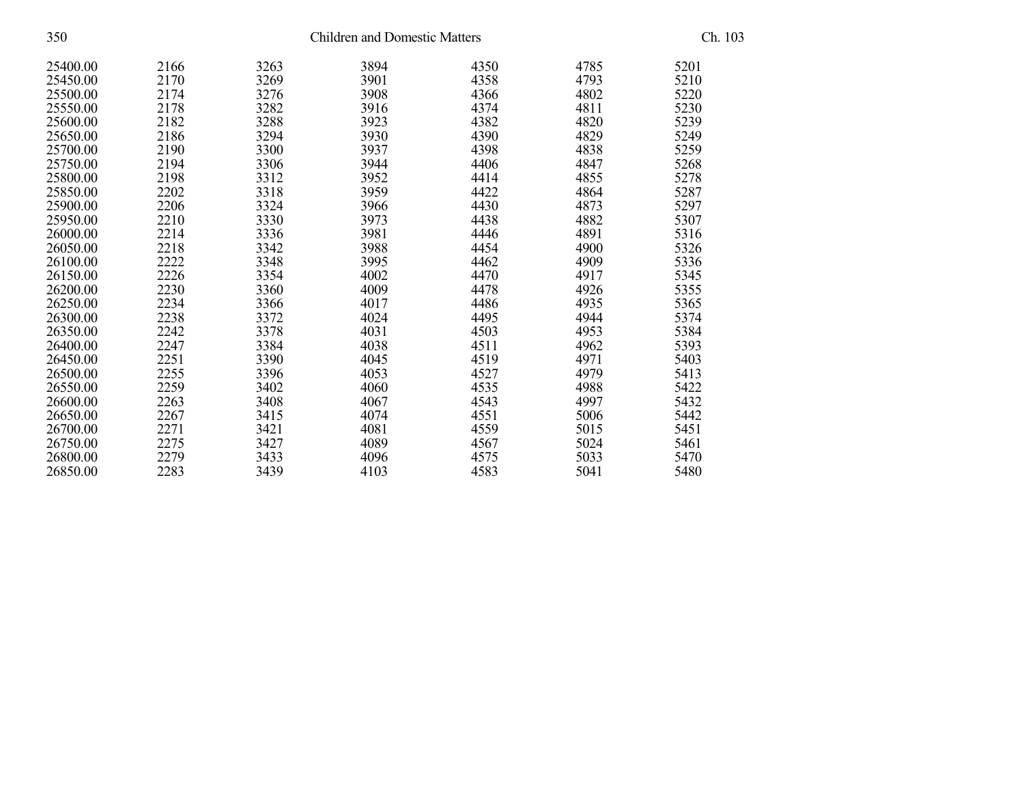| 350      |      |      |      | <b>Children and Domestic Matters</b> |      |      | Ch. 103 |  |
|----------|------|------|------|--------------------------------------|------|------|---------|--|
| 25400.00 | 2166 | 3263 | 3894 | 4350                                 | 4785 | 5201 |         |  |
| 25450.00 | 2170 | 3269 | 3901 | 4358                                 | 4793 | 5210 |         |  |
| 25500.00 | 2174 | 3276 | 3908 | 4366                                 | 4802 | 5220 |         |  |
| 25550.00 | 2178 | 3282 | 3916 | 4374                                 | 4811 | 5230 |         |  |
| 25600.00 | 2182 | 3288 | 3923 | 4382                                 | 4820 | 5239 |         |  |
| 25650.00 | 2186 | 3294 | 3930 | 4390                                 | 4829 | 5249 |         |  |
| 25700.00 | 2190 | 3300 | 3937 | 4398                                 | 4838 | 5259 |         |  |
| 25750.00 | 2194 | 3306 | 3944 | 4406                                 | 4847 | 5268 |         |  |
| 25800.00 | 2198 | 3312 | 3952 | 4414                                 | 4855 | 5278 |         |  |
| 25850.00 | 2202 | 3318 | 3959 | 4422                                 | 4864 | 5287 |         |  |
| 25900.00 | 2206 | 3324 | 3966 | 4430                                 | 4873 | 5297 |         |  |
| 25950.00 | 2210 | 3330 | 3973 | 4438                                 | 4882 | 5307 |         |  |
| 26000.00 | 2214 | 3336 | 3981 | 4446                                 | 4891 | 5316 |         |  |
| 26050.00 | 2218 | 3342 | 3988 | 4454                                 | 4900 | 5326 |         |  |
| 26100.00 | 2222 | 3348 | 3995 | 4462                                 | 4909 | 5336 |         |  |
| 26150.00 | 2226 | 3354 | 4002 | 4470                                 | 4917 | 5345 |         |  |
| 26200.00 | 2230 | 3360 | 4009 | 4478                                 | 4926 | 5355 |         |  |
| 26250.00 | 2234 | 3366 | 4017 | 4486                                 | 4935 | 5365 |         |  |
| 26300.00 | 2238 | 3372 | 4024 | 4495                                 | 4944 | 5374 |         |  |
| 26350.00 | 2242 | 3378 | 4031 | 4503                                 | 4953 | 5384 |         |  |
| 26400.00 | 2247 | 3384 | 4038 | 4511                                 | 4962 | 5393 |         |  |
| 26450.00 | 2251 | 3390 | 4045 | 4519                                 | 4971 | 5403 |         |  |
| 26500.00 | 2255 | 3396 | 4053 | 4527                                 | 4979 | 5413 |         |  |
| 26550.00 | 2259 | 3402 | 4060 | 4535                                 | 4988 | 5422 |         |  |
| 26600.00 | 2263 | 3408 | 4067 | 4543                                 | 4997 | 5432 |         |  |
| 26650.00 | 2267 | 3415 | 4074 | 4551                                 | 5006 | 5442 |         |  |
| 26700.00 | 2271 | 3421 | 4081 | 4559                                 | 5015 | 5451 |         |  |
| 26750.00 | 2275 | 3427 | 4089 | 4567                                 | 5024 | 5461 |         |  |
| 26800.00 | 2279 | 3433 | 4096 | 4575                                 | 5033 | 5470 |         |  |
| 26850.00 | 2283 | 3439 | 4103 | 4583                                 | 5041 | 5480 |         |  |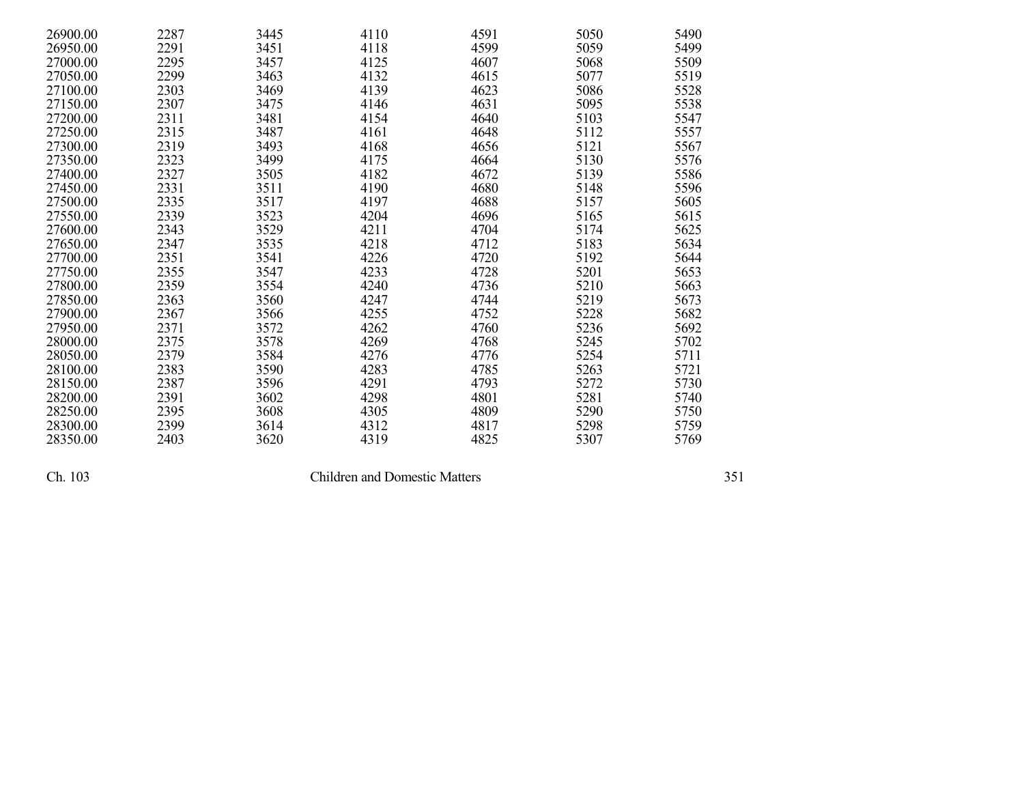| 26900.00 | 2287 | 3445 | 4110 | 4591 | 5050 | 5490 |
|----------|------|------|------|------|------|------|
| 26950.00 | 2291 | 3451 | 4118 | 4599 | 5059 | 5499 |
| 27000.00 | 2295 | 3457 | 4125 | 4607 | 5068 | 5509 |
| 27050.00 | 2299 | 3463 | 4132 | 4615 | 5077 | 5519 |
| 27100.00 | 2303 | 3469 | 4139 | 4623 | 5086 | 5528 |
| 27150.00 | 2307 | 3475 | 4146 | 4631 | 5095 | 5538 |
| 27200.00 | 2311 | 3481 | 4154 | 4640 | 5103 | 5547 |
| 27250.00 | 2315 | 3487 | 4161 | 4648 | 5112 | 5557 |
| 27300.00 | 2319 | 3493 | 4168 | 4656 | 5121 | 5567 |
| 27350.00 | 2323 | 3499 | 4175 | 4664 | 5130 | 5576 |
| 27400.00 | 2327 | 3505 | 4182 | 4672 | 5139 | 5586 |
| 27450.00 | 2331 | 3511 | 4190 | 4680 | 5148 | 5596 |
| 27500.00 | 2335 | 3517 | 4197 | 4688 | 5157 | 5605 |
| 27550.00 | 2339 | 3523 | 4204 | 4696 | 5165 | 5615 |
| 27600.00 | 2343 | 3529 | 4211 | 4704 | 5174 | 5625 |
| 27650.00 | 2347 | 3535 | 4218 | 4712 | 5183 | 5634 |
| 27700.00 | 2351 | 3541 | 4226 | 4720 | 5192 | 5644 |
| 27750.00 | 2355 | 3547 | 4233 | 4728 | 5201 | 5653 |
| 27800.00 | 2359 | 3554 | 4240 | 4736 | 5210 | 5663 |
| 27850.00 | 2363 | 3560 | 4247 | 4744 | 5219 | 5673 |
| 27900.00 | 2367 | 3566 | 4255 | 4752 | 5228 | 5682 |
| 27950.00 | 2371 | 3572 | 4262 | 4760 | 5236 | 5692 |
| 28000.00 | 2375 | 3578 | 4269 | 4768 | 5245 | 5702 |
| 28050.00 | 2379 | 3584 | 4276 | 4776 | 5254 | 5711 |
| 28100.00 | 2383 | 3590 | 4283 | 4785 | 5263 | 5721 |
| 28150.00 | 2387 | 3596 | 4291 | 4793 | 5272 | 5730 |
| 28200.00 | 2391 | 3602 | 4298 | 4801 | 5281 | 5740 |
| 28250.00 | 2395 | 3608 | 4305 | 4809 | 5290 | 5750 |
| 28300.00 | 2399 | 3614 | 4312 | 4817 | 5298 | 5759 |
| 28350.00 | 2403 | 3620 | 4319 | 4825 | 5307 | 5769 |

Children and Domestic Matters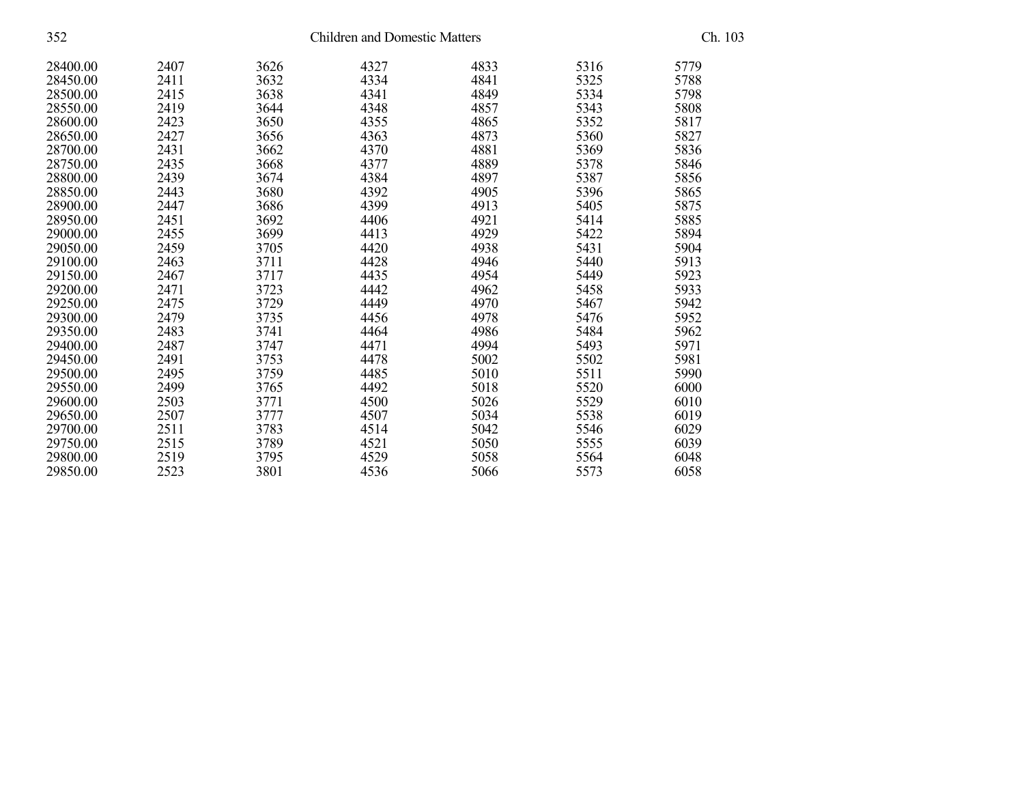| 352      |      | <b>Children and Domestic Matters</b> |      |      |      |      |  |
|----------|------|--------------------------------------|------|------|------|------|--|
| 28400.00 | 2407 | 3626                                 | 4327 | 4833 | 5316 | 5779 |  |
| 28450.00 | 2411 | 3632                                 | 4334 | 4841 | 5325 | 5788 |  |
| 28500.00 | 2415 | 3638                                 | 4341 | 4849 | 5334 | 5798 |  |
| 28550.00 | 2419 | 3644                                 | 4348 | 4857 | 5343 | 5808 |  |
| 28600.00 | 2423 | 3650                                 | 4355 | 4865 | 5352 | 5817 |  |
| 28650.00 | 2427 | 3656                                 | 4363 | 4873 | 5360 | 5827 |  |
| 28700.00 | 2431 | 3662                                 | 4370 | 4881 | 5369 | 5836 |  |
| 28750.00 | 2435 | 3668                                 | 4377 | 4889 | 5378 | 5846 |  |
| 28800.00 | 2439 | 3674                                 | 4384 | 4897 | 5387 | 5856 |  |
| 28850.00 | 2443 | 3680                                 | 4392 | 4905 | 5396 | 5865 |  |
| 28900.00 | 2447 | 3686                                 | 4399 | 4913 | 5405 | 5875 |  |
| 28950.00 | 2451 | 3692                                 | 4406 | 4921 | 5414 | 5885 |  |
| 29000.00 | 2455 | 3699                                 | 4413 | 4929 | 5422 | 5894 |  |
| 29050.00 | 2459 | 3705                                 | 4420 | 4938 | 5431 | 5904 |  |
| 29100.00 | 2463 | 3711                                 | 4428 | 4946 | 5440 | 5913 |  |
| 29150.00 | 2467 | 3717                                 | 4435 | 4954 | 5449 | 5923 |  |
| 29200.00 | 2471 | 3723                                 | 4442 | 4962 | 5458 | 5933 |  |
| 29250.00 | 2475 | 3729                                 | 4449 | 4970 | 5467 | 5942 |  |
| 29300.00 | 2479 | 3735                                 | 4456 | 4978 | 5476 | 5952 |  |
| 29350.00 | 2483 | 3741                                 | 4464 | 4986 | 5484 | 5962 |  |
| 29400.00 | 2487 | 3747                                 | 4471 | 4994 | 5493 | 5971 |  |
| 29450.00 | 2491 | 3753                                 | 4478 | 5002 | 5502 | 5981 |  |
| 29500.00 | 2495 | 3759                                 | 4485 | 5010 | 5511 | 5990 |  |
| 29550.00 | 2499 | 3765                                 | 4492 | 5018 | 5520 | 6000 |  |
| 29600.00 | 2503 | 3771                                 | 4500 | 5026 | 5529 | 6010 |  |
| 29650.00 | 2507 | 3777                                 | 4507 | 5034 | 5538 | 6019 |  |
| 29700.00 | 2511 | 3783                                 | 4514 | 5042 | 5546 | 6029 |  |
| 29750.00 | 2515 | 3789                                 | 4521 | 5050 | 5555 | 6039 |  |
| 29800.00 | 2519 | 3795                                 | 4529 | 5058 | 5564 | 6048 |  |
| 29850.00 | 2523 | 3801                                 | 4536 | 5066 | 5573 | 6058 |  |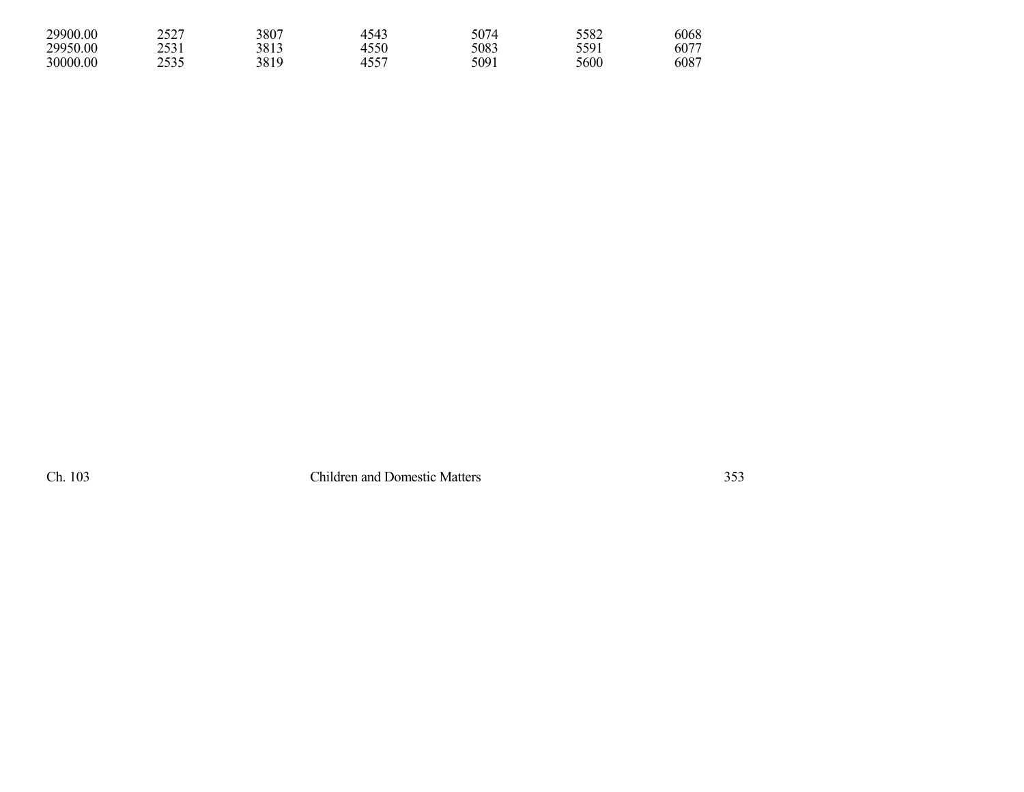| 29900.00 | 2527 | 3807 | 4543          | 5074 | 5582 | 6068 |
|----------|------|------|---------------|------|------|------|
| 29950.00 | 2531 | 3813 | 4550          | 5083 | 5591 | 607  |
| 30000.00 | 2535 | 3819 | $455^{\circ}$ | 5091 | 5600 | 6087 |

Ch. 103 Children and Domestic Matters 353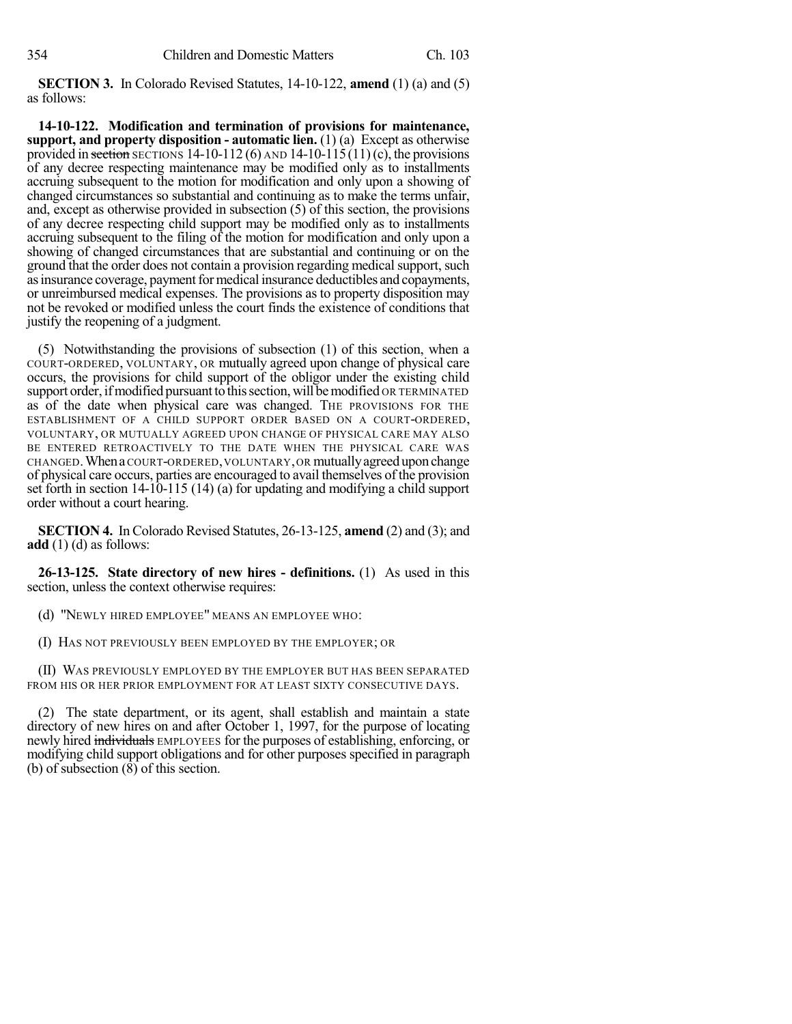**SECTION 3.** In Colorado Revised Statutes, 14-10-122, **amend** (1) (a) and (5) as follows:

**14-10-122. Modification and termination of provisions for maintenance, support, and property disposition - automatic lien.** (1) (a) Except as otherwise provided in section SECTIONS 14-10-112 (6) AND 14-10-115(11)(c), the provisions of any decree respecting maintenance may be modified only as to installments accruing subsequent to the motion for modification and only upon a showing of changed circumstances so substantial and continuing as to make the terms unfair, and, except as otherwise provided in subsection (5) of this section, the provisions of any decree respecting child support may be modified only as to installments accruing subsequent to the filing of the motion for modification and only upon a showing of changed circumstances that are substantial and continuing or on the ground that the order does not contain a provision regarding medical support, such as insurance coverage, payment for medical insurance deductibles and copayments, or unreimbursed medical expenses. The provisions as to property disposition may not be revoked or modified unless the court finds the existence of conditions that justify the reopening of a judgment.

(5) Notwithstanding the provisions of subsection (1) of this section, when a COURT-ORDERED, VOLUNTARY, OR mutually agreed upon change of physical care occurs, the provisions for child support of the obligor under the existing child support order, if modified pursuant to this section, will be modified OR TERMINATED as of the date when physical care was changed. THE PROVISIONS FOR THE ESTABLISHMENT OF A CHILD SUPPORT ORDER BASED ON A COURT-ORDERED, VOLUNTARY, OR MUTUALLY AGREED UPON CHANGE OF PHYSICAL CARE MAY ALSO BE ENTERED RETROACTIVELY TO THE DATE WHEN THE PHYSICAL CARE WAS CHANGED.WhenaCOURT-ORDERED,VOLUNTARY,OR mutuallyagreeduponchange of physical care occurs, parties are encouraged to avail themselves of the provision set forth in section 14-10-115 (14) (a) for updating and modifying a child support order without a court hearing.

**SECTION 4.** In Colorado Revised Statutes, 26-13-125, **amend** (2) and (3); and **add** (1) (d) as follows:

**26-13-125. State directory of new hires - definitions.** (1) As used in this section, unless the context otherwise requires:

(d) "NEWLY HIRED EMPLOYEE" MEANS AN EMPLOYEE WHO:

(I) HAS NOT PREVIOUSLY BEEN EMPLOYED BY THE EMPLOYER; OR

(II) WAS PREVIOUSLY EMPLOYED BY THE EMPLOYER BUT HAS BEEN SEPARATED FROM HIS OR HER PRIOR EMPLOYMENT FOR AT LEAST SIXTY CONSECUTIVE DAYS.

(2) The state department, or its agent, shall establish and maintain a state directory of new hires on and after October 1, 1997, for the purpose of locating newly hired individuals EMPLOYEES for the purposes of establishing, enforcing, or modifying child support obligations and for other purposes specified in paragraph (b) of subsection  $(\overline{8})$  of this section.